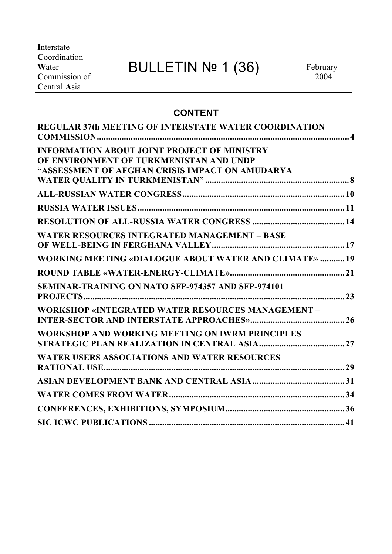**I**nterstate **C**oordination **W**ater **C**ommission of **C**entral **A**sia

# BULLETIN Nº 1 (36)

# **CONTENT**

| <b>REGULAR 37th MEETING OF INTERSTATE WATER COORDINATION</b>                                  |  |
|-----------------------------------------------------------------------------------------------|--|
| <b>INFORMATION ABOUT JOINT PROJECT OF MINISTRY</b><br>OF ENVIRONMENT OF TURKMENISTAN AND UNDP |  |
| "ASSESSMENT OF AFGHAN CRISIS IMPACT ON AMUDARYA                                               |  |
|                                                                                               |  |
|                                                                                               |  |
|                                                                                               |  |
| <b>WATER RESOURCES INTEGRATED MANAGEMENT - BASE</b>                                           |  |
| <b>WORKING MEETING «DIALOGUE ABOUT WATER AND CLIMATE»  19</b>                                 |  |
|                                                                                               |  |
| <b>SEMINAR-TRAINING ON NATO SFP-974357 AND SFP-974101</b>                                     |  |
| <b>WORKSHOP «INTEGRATED WATER RESOURCES MANAGEMENT -</b>                                      |  |
| WORKSHOP AND WORKING MEETING ON IWRM PRINCIPLES                                               |  |
| <b>WATER USERS ASSOCIATIONS AND WATER RESOURCES</b>                                           |  |
|                                                                                               |  |
|                                                                                               |  |
|                                                                                               |  |
|                                                                                               |  |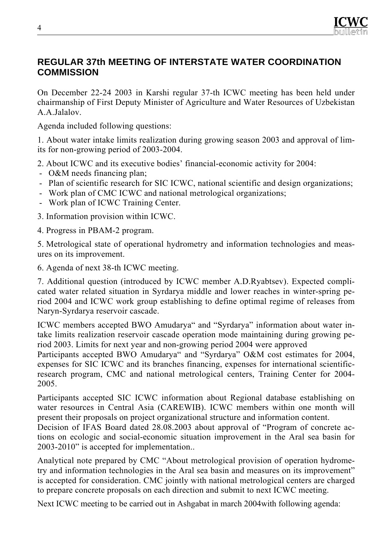

#### **REGULAR 37th MEETING OF INTERSTATE WATER COORDINATION COMMISSION**

On December 22-24 2003 in Karshi regular 37-th ICWC meeting has been held under chairmanship of First Deputy Minister of Agriculture and Water Resources of Uzbekistan A.A.Jalalov.

Agenda included following questions:

1. About water intake limits realization during growing season 2003 and approval of limits for non-growing period of 2003-2004.

2. About ICWC and its executive bodies' financial-economic activity for 2004:

- O&M needs financing plan;
- Plan of scientific research for SIC ICWC, national scientific and design organizations;
- Work plan of CMC ICWC and national metrological organizations;
- Work plan of ICWC Training Center.
- 3. Information provision within ICWC.

4. Progress in PBAM-2 program.

5. Metrological state of operational hydrometry and information technologies and measures on its improvement.

6. Agenda of next 38-th ICWC meeting.

7. Additional question (introduced by ICWC member A.D.Ryabtsev). Expected complicated water related situation in Syrdarya middle and lower reaches in winter-spring period 2004 and ICWC work group establishing to define optimal regime of releases from Naryn-Syrdarya reservoir cascade.

ICWC members accepted BWO Amudarya" and "Syrdarya" information about water intake limits realization reservoir cascade operation mode maintaining during growing period 2003. Limits for next year and non-growing period 2004 were approved

Participants accepted BWO Amudarya<sup>"</sup> and "Syrdarya" O&M cost estimates for 2004, expenses for SIC ICWC and its branches financing, expenses for international scientificresearch program, CMC and national metrological centers, Training Center for 2004- 2005.

Participants accepted SIC ICWC information about Regional database establishing on water resources in Central Asia (CAREWIB). ICWC members within one month will present their proposals on project organizational structure and information content.

Decision of IFAS Board dated 28.08.2003 about approval of "Program of concrete actions on ecologic and social-economic situation improvement in the Aral sea basin for 2003-2010" is accepted for implementation..

Analytical note prepared by CMC "About metrological provision of operation hydrometry and information technologies in the Aral sea basin and measures on its improvement" is accepted for consideration. CMC jointly with national metrological centers are charged to prepare concrete proposals on each direction and submit to next ICWC meeting.

Next ICWC meeting to be carried out in Ashgabat in march 2004with following agenda: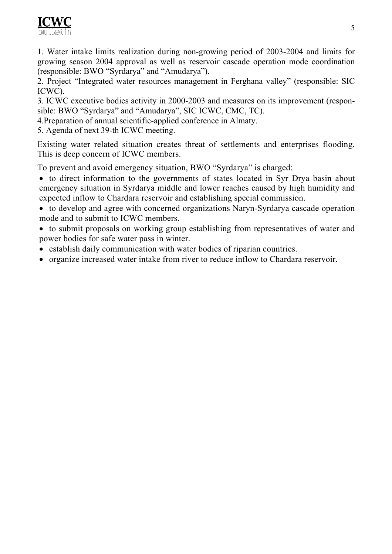1. Water intake limits realization during non-growing period of 2003-2004 and limits for growing season 2004 approval as well as reservoir cascade operation mode coordination (responsible: BWO "Syrdarya" and "Amudarya").

2. Project "Integrated water resources management in Ferghana valley" (responsible: SIC ICWC).

3. ICWC executive bodies activity in 2000-2003 and measures on its improvement (responsible: BWO "Syrdarya" and "Amudarya", SIC ICWC, CMC, TC).

4.Preparation of annual scientific-applied conference in Almaty.

5. Agenda of next 39-th ICWC meeting.

Existing water related situation creates threat of settlements and enterprises flooding. This is deep concern of ICWC members.

To prevent and avoid emergency situation, BWO "Syrdarya" is charged:

- to direct information to the governments of states located in Syr Drya basin about emergency situation in Syrdarya middle and lower reaches caused by high humidity and expected inflow to Chardara reservoir and establishing special commission.
- to develop and agree with concerned organizations Naryn-Syrdarya cascade operation mode and to submit to ICWC members.
- to submit proposals on working group establishing from representatives of water and power bodies for safe water pass in winter.
- establish daily communication with water bodies of riparian countries.
- organize increased water intake from river to reduce inflow to Chardara reservoir.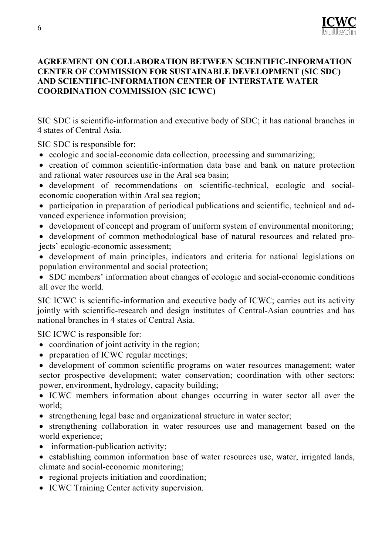#### **AGREEMENT ON COLLABORATION BETWEEN SCIENTIFIC-INFORMATION CENTER OF COMMISSION FOR SUSTAINABLE DEVELOPMENT (SIC SDC) AND SCIENTIFIC-INFORMATION CENTER OF INTERSTATE WATER COORDINATION COMMISSION (SIC ICWC)**

SIC SDC is scientific-information and executive body of SDC; it has national branches in 4 states of Central Asia.

SIC SDC is responsible for:

- ecologic and social-economic data collection, processing and summarizing;
- creation of common scientific-information data base and bank on nature protection and rational water resources use in the Aral sea basin;
- development of recommendations on scientific-technical, ecologic and socialeconomic cooperation within Aral sea region;
- participation in preparation of periodical publications and scientific, technical and advanced experience information provision;
- development of concept and program of uniform system of environmental monitoring;
- development of common methodological base of natural resources and related projects' ecologic-economic assessment;
- development of main principles, indicators and criteria for national legislations on population environmental and social protection;
- SDC members' information about changes of ecologic and social-economic conditions all over the world.

SIC ICWC is scientific-information and executive body of ICWC; carries out its activity jointly with scientific-research and design institutes of Central-Asian countries and has national branches in 4 states of Central Asia.

SIC ICWC is responsible for:

- coordination of joint activity in the region;
- preparation of ICWC regular meetings;
- development of common scientific programs on water resources management; water sector prospective development; water conservation; coordination with other sectors: power, environment, hydrology, capacity building;

• ICWC members information about changes occurring in water sector all over the world;

- strengthening legal base and organizational structure in water sector;
- strengthening collaboration in water resources use and management based on the world experience;
- information-publication activity;
- establishing common information base of water resources use, water, irrigated lands, climate and social-economic monitoring;
- regional projects initiation and coordination;
- ICWC Training Center activity supervision.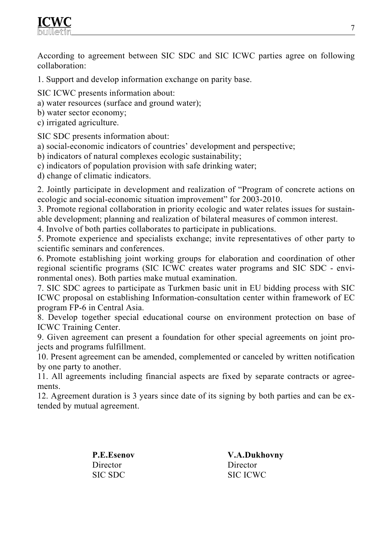According to agreement between SIC SDC and SIC ICWC parties agree on following collaboration:

- 1. Support and develop information exchange on parity base.
- SIC ICWC presents information about:
- a) water resources (surface and ground water);
- b) water sector economy;
- c) irrigated agriculture.

SIC SDC presents information about:

a) social-economic indicators of countries' development and perspective;

b) indicators of natural complexes ecologic sustainability;

c) indicators of population provision with safe drinking water;

d) change of climatic indicators.

2. Jointly participate in development and realization of "Program of concrete actions on ecologic and social-economic situation improvement" for 2003-2010.

3. Promote regional collaboration in priority ecologic and water relates issues for sustainable development; planning and realization of bilateral measures of common interest.

4. Involve of both parties collaborates to participate in publications.

5. Promote experience and specialists exchange; invite representatives of other party to scientific seminars and conferences.

6. Promote establishing joint working groups for elaboration and coordination of other regional scientific programs (SIC ICWC creates water programs and SIC SDC - environmental ones). Both parties make mutual examination.

7. SIC SDC agrees to participate as Turkmen basic unit in EU bidding process with SIC ICWC proposal on establishing Information-consultation center within framework of EC program FP-6 in Central Asia.

8. Develop together special educational course on environment protection on base of ICWC Training Center.

9. Given agreement can present a foundation for other special agreements on joint projects and programs fulfillment.

10. Present agreement can be amended, complemented or canceled by written notification by one party to another.

11. All agreements including financial aspects are fixed by separate contracts or agreements.

12. Agreement duration is 3 years since date of its signing by both parties and can be extended by mutual agreement.

> **P.E.Esenov**  Director SIC SDC

**V.A.Dukhovny**  Director SIC ICWC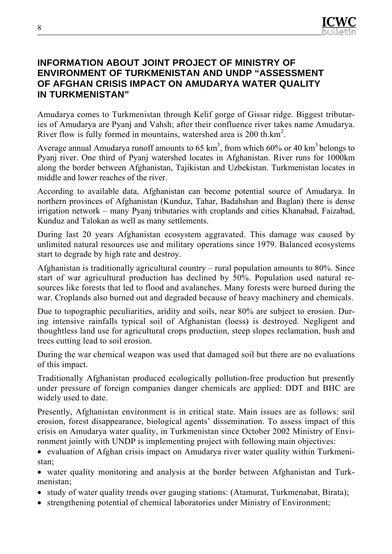#### **INFORMATION ABOUT JOINT PROJECT OF MINISTRY OF ENVIRONMENT OF TURKMENISTAN AND UNDP "ASSESSMENT OF AFGHAN CRISIS IMPACT ON AMUDARYA WATER QUALITY IN TURKMENISTAN"**

Amudarya comes to Turkmenistan through Kelif gorge of Gissar ridge. Biggest tributaries of Amudarya are Pyanj and Vahsh; after their confluence river takes name Amudarya. River flow is fully formed in mountains, watershed area is 200 th.km<sup>2</sup>.

Average annual Amudarya runoff amounts to 65  $km^3$ , from which 60% or 40  $km^3$  belongs to Pyanj river. One third of Pyanj watershed locates in Afghanistan. River runs for 1000km along the border between Afghanistan, Tajikistan and Uzbekistan. Turkmenistan locates in middle and lower reaches of the river.

According to available data, Afghanistan can become potential source of Amudarya. In northern provinces of Afghanistan (Kunduz, Tahar, Badahshan and Baglan) there is dense irrigation network – many Pyanj tributaries with croplands and cities Khanabad, Faizabad, Kunduz and Talokan as well as many settlements.

During last 20 years Afghanistan ecosystem aggravated. This damage was caused by unlimited natural resources use and military operations since 1979. Balanced ecosystems start to degrade by high rate and destroy.

Afghanistan is traditionally agricultural country – rural population amounts to 80%. Since start of war agricultural production has declined by 50%. Population used natural resources like forests that led to flood and avalanches. Many forests were burned during the war. Croplands also burned out and degraded because of heavy machinery and chemicals.

Due to topographic peculiarities, aridity and soils, near 80% are subject to erosion. During intensive rainfalls typical soil of Afghanistan (loess) is destroyed. Negligent and thoughtless land use for agricultural crops production, steep slopes reclamation, bush and trees cutting lead to soil erosion.

During the war chemical weapon was used that damaged soil but there are no evaluations of this impact.

Traditionally Afghanistan produced ecologically pollution-free production but presently under pressure of foreign companies danger chemicals are applied: DDT and BHC are widely used to date.

Presently, Afghanistan environment is in critical state. Main issues are as follows: soil erosion, forest disappearance, biological agents' dissemination. To assess impact of this crisis on Amudarya water quality, in Turkmenistan since October 2002 Ministry of Environment jointly with UNDP is implementing project with following main objectives:

• evaluation of Afghan crisis impact on Amudarya river water quality within Turkmenistan;

• water quality monitoring and analysis at the border between Afghanistan and Turkmenistan;

- study of water quality trends over gauging stations: (Atamurat, Turkmenabat, Birata);
- strengthening potential of chemical laboratories under Ministry of Environment;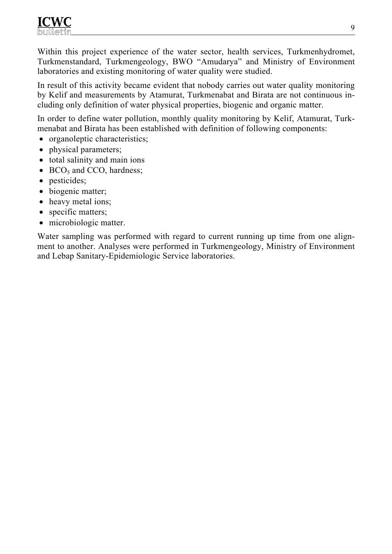Within this project experience of the water sector, health services, Turkmenhydromet, Turkmenstandard, Turkmengeology, BWO "Amudarya" and Ministry of Environment laboratories and existing monitoring of water quality were studied.

In result of this activity became evident that nobody carries out water quality monitoring by Kelif and measurements by Atamurat, Turkmenabat and Birata are not continuous including only definition of water physical properties, biogenic and organic matter.

In order to define water pollution, monthly quality monitoring by Kelif, Atamurat, Turkmenabat and Birata has been established with definition of following components:

- organoleptic characteristics;
- physical parameters;
- total salinity and main ions
- $BCO<sub>5</sub>$  and CCO, hardness;
- pesticides;
- biogenic matter;
- heavy metal ions;
- specific matters;
- microbiologic matter.

Water sampling was performed with regard to current running up time from one alignment to another. Analyses were performed in Turkmengeology, Ministry of Environment and Lebap Sanitary-Epidemiologic Service laboratories.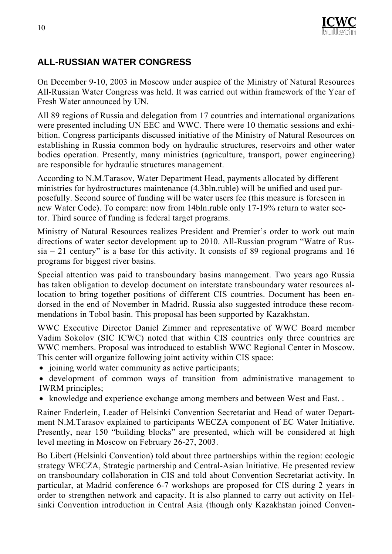# **ALL-RUSSIAN WATER CONGRESS**

On December 9-10, 2003 in Moscow under auspice of the Ministry of Natural Resources All-Russian Water Congress was held. It was carried out within framework of the Year of Fresh Water announced by UN.

All 89 regions of Russia and delegation from 17 countries and international organizations were presented including UN EEC and WWC. There were 10 thematic sessions and exhibition. Congress participants discussed initiative of the Ministry of Natural Resources on establishing in Russia common body on hydraulic structures, reservoirs and other water bodies operation. Presently, many ministries (agriculture, transport, power engineering) are responsible for hydraulic structures management.

According to N.M.Tarasov, Water Department Head, payments allocated by different ministries for hydrostructures maintenance (4.3bln.ruble) will be unified and used purposefully. Second source of funding will be water users fee (this measure is foreseen in new Water Code). To compare: now from 14bln.ruble only 17-19% return to water sector. Third source of funding is federal target programs.

Ministry of Natural Resources realizes President and Premier's order to work out main directions of water sector development up to 2010. All-Russian program "Watre of Rus $sia - 21$  century" is a base for this activity. It consists of 89 regional programs and 16 programs for biggest river basins.

Special attention was paid to transboundary basins management. Two years ago Russia has taken obligation to develop document on interstate transboundary water resources allocation to bring together positions of different CIS countries. Document has been endorsed in the end of November in Madrid. Russia also suggested introduce these recommendations in Tobol basin. This proposal has been supported by Kazakhstan.

WWC Executive Director Daniel Zimmer and representative of WWC Board member Vadim Sokolov (SIC ICWC) noted that within CIS countries only three countries are WWC members. Proposal was introduced to establish WWC Regional Center in Moscow. This center will organize following joint activity within CIS space:

- joining world water community as active participants;
- development of common ways of transition from administrative management to IWRM principles;
- knowledge and experience exchange among members and between West and East. .

Rainer Enderlein, Leader of Helsinki Convention Secretariat and Head of water Department N.M.Tarasov explained to participants WECZA component of EC Water Initiative. Presently, near 150 "building blocks" are presented, which will be considered at high level meeting in Moscow on February 26-27, 2003.

Bo Libert (Helsinki Convention) told about three partnerships within the region: ecologic strategy WECZA, Strategic partnership and Central-Asian Initiative. He presented review on transboundary collaboration in CIS and told about Convention Secretariat activity. In particular, at Madrid conference 6-7 workshops are proposed for CIS during 2 years in order to strengthen network and capacity. It is also planned to carry out activity on Helsinki Convention introduction in Central Asia (though only Kazakhstan joined Conven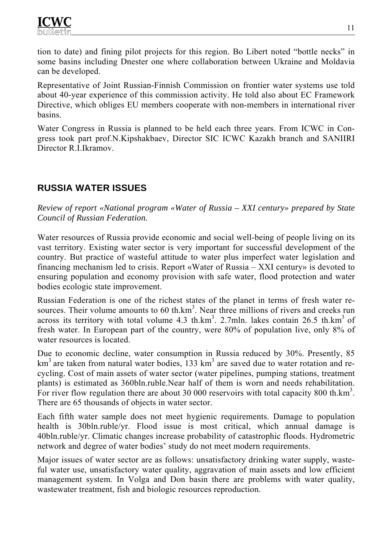tion to date) and fining pilot projects for this region. Bo Libert noted "bottle necks" in some basins including Dnester one where collaboration between Ukraine and Moldavia can be developed.

Representative of Joint Russian-Finnish Commission on frontier water systems use told about 40-year experience of this commission activity. He told also about EC Framework Directive, which obliges EU members cooperate with non-members in international river basins.

Water Congress in Russia is planned to be held each three years. From ICWC in Congress took part prof.N.Kipshakbaev, Director SIC ICWC Kazakh branch and SANIIRI Director R.I.Ikramov.

# **RUSSIA WATER ISSUES**

*Review of report «National program «Water of Russia – XXI century» prepared by State Council of Russian Federation.* 

Water resources of Russia provide economic and social well-being of people living on its vast territory. Existing water sector is very important for successful development of the country. But practice of wasteful attitude to water plus imperfect water legislation and financing mechanism led to crisis. Report «Water of Russia – XXI century» is devoted to ensuring population and economy provision with safe water, flood protection and water bodies ecologic state improvement.

Russian Federation is one of the richest states of the planet in terms of fresh water resources. Their volume amounts to  $60$  th.km<sup>3</sup>. Near three millions of rivers and creeks run across its territory with total volume  $4.3$  th.km<sup>3</sup>. 2.7mln. lakes contain 26.5 th.km<sup>3</sup> of fresh water. In European part of the country, were 80% of population live, only 8% of water resources is located.

Due to economic decline, water consumption in Russia reduced by 30%. Presently, 85  $km<sup>3</sup>$  are taken from natural water bodies, 133 km<sup>3</sup> are saved due to water rotation and recycling. Cost of main assets of water sector (water pipelines, pumping stations, treatment plants) is estimated as 360bln.ruble.Near half of them is worn and needs rehabilitation. For river flow regulation there are about 30 000 reservoirs with total capacity 800 th. $km<sup>3</sup>$ . There are 65 thousands of objects in water sector.

Each fifth water sample does not meet hygienic requirements. Damage to population health is 30bln.ruble/yr. Flood issue is most critical, which annual damage is 40bln.ruble/yr. Climatic changes increase probability of catastrophic floods. Hydrometric network and degree of water bodies' study do not meet modern requirements.

Major issues of water sector are as follows: unsatisfactory drinking water supply, wasteful water use, unsatisfactory water quality, aggravation of main assets and low efficient management system. In Volga and Don basin there are problems with water quality, wastewater treatment, fish and biologic resources reproduction.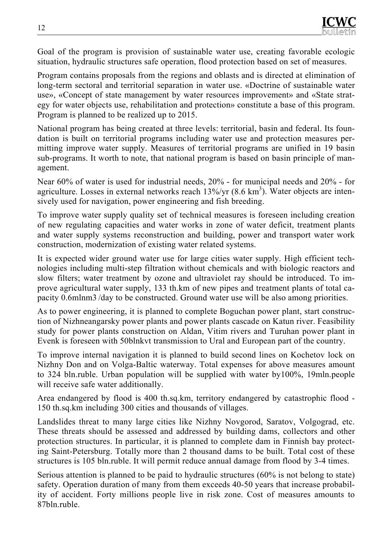Goal of the program is provision of sustainable water use, creating favorable ecologic situation, hydraulic structures safe operation, flood protection based on set of measures.

Program contains proposals from the regions and oblasts and is directed at elimination of long-term sectoral and territorial separation in water use. «Doctrine of sustainable water use», «Concept of state management by water resources improvement» and «State strategy for water objects use, rehabilitation and protection» constitute a base of this program. Program is planned to be realized up to 2015.

National program has being created at three levels: territorial, basin and federal. Its foundation is built on territorial programs including water use and protection measures permitting improve water supply. Measures of territorial programs are unified in 19 basin sub-programs. It worth to note, that national program is based on basin principle of management.

Near 60% of water is used for industrial needs, 20% - for municipal needs and 20% - for agriculture. Losses in external networks reach  $13\%$ /yr  $(8.6 \text{ km}^3)$ . Water objects are intensively used for navigation, power engineering and fish breeding.

To improve water supply quality set of technical measures is foreseen including creation of new regulating capacities and water works in zone of water deficit, treatment plants and water supply systems reconstruction and building, power and transport water work construction, modernization of existing water related systems.

It is expected wider ground water use for large cities water supply. High efficient technologies including multi-step filtration without chemicals and with biologic reactors and slow filters; water treatment by ozone and ultraviolet ray should be introduced. To improve agricultural water supply, 133 th.km of new pipes and treatment plants of total capacity 0.6mlnm3 /day to be constructed. Ground water use will be also among priorities.

As to power engineering, it is planned to complete Boguchan power plant, start construction of Nizhneangarsky power plants and power plants cascade on Katun river. Feasibility study for power plants construction on Aldan, Vitim rivers and Turuhan power plant in Evenk is foreseen with 50blnkvt transmission to Ural and European part of the country.

To improve internal navigation it is planned to build second lines on Kochetov lock on Nizhny Don and on Volga-Baltic waterway. Total expenses for above measures amount to 324 bln.ruble. Urban population will be supplied with water by100%, 19mln.people will receive safe water additionally.

Area endangered by flood is 400 th.sq.km, territory endangered by catastrophic flood - 150 th.sq.km including 300 cities and thousands of villages.

Landslides threat to many large cities like Nizhny Novgorod, Saratov, Volgograd, etc. These threats should be assessed and addressed by building dams, collectors and other protection structures. In particular, it is planned to complete dam in Finnish bay protecting Saint-Petersburg. Totally more than 2 thousand dams to be built. Total cost of these structures is 105 bln.ruble. It will permit reduce annual damage from flood by 3-4 times.

Serious attention is planned to be paid to hydraulic structures (60% is not belong to state) safety. Operation duration of many from them exceeds 40-50 years that increase probability of accident. Forty millions people live in risk zone. Cost of measures amounts to 87bln.ruble.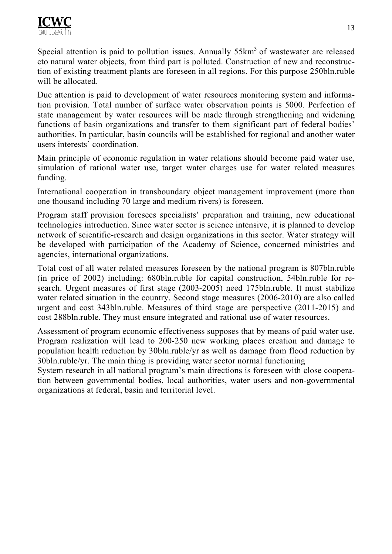Special attention is paid to pollution issues. Annually  $55 \text{km}^3$  of wastewater are released сto natural water objects, from third part is polluted. Construction of new and reconstruction of existing treatment plants are foreseen in all regions. For this purpose 250bln.ruble will be allocated.

Due attention is paid to development of water resources monitoring system and information provision. Total number of surface water observation points is 5000. Perfection of state management by water resources will be made through strengthening and widening functions of basin organizations and transfer to them significant part of federal bodies' authorities. In particular, basin councils will be established for regional and another water users interests' coordination.

Main principle of economic regulation in water relations should become paid water use, simulation of rational water use, target water charges use for water related measures funding.

International cooperation in transboundary object management improvement (more than one thousand including 70 large and medium rivers) is foreseen.

Program staff provision foresees specialists' preparation and training, new educational technologies introduction. Since water sector is science intensive, it is planned to develop network of scientific-research and design organizations in this sector. Water strategy will be developed with participation of the Academy of Science, concerned ministries and agencies, international organizations.

Total cost of all water related measures foreseen by the national program is 807bln.ruble (in price of 2002) including: 680bln.ruble for capital construction, 54bln.ruble for research. Urgent measures of first stage (2003-2005) need 175bln.ruble. It must stabilize water related situation in the country. Second stage measures (2006-2010) are also called urgent and cost 343bln.ruble. Measures of third stage are perspective (2011-2015) and cost 288bln.ruble. They must ensure integrated and rational use of water resources.

Assessment of program economic effectiveness supposes that by means of paid water use. Program realization will lead to 200-250 new working places creation and damage to population health reduction by 30bln.ruble/yr as well as damage from flood reduction by 30bln.ruble/yr. The main thing is providing water sector normal functioning

System research in all national program's main directions is foreseen with close cooperation between governmental bodies, local authorities, water users and non-governmental organizations at federal, basin and territorial level.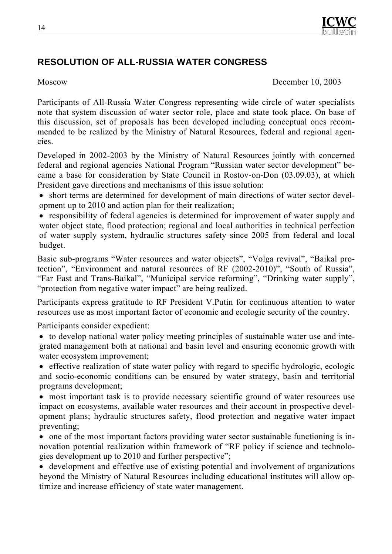

# **RESOLUTION OF ALL-RUSSIA WATER CONGRESS**

Moscow December 10, 2003

Participants of All-Russia Water Congress representing wide circle of water specialists note that system discussion of water sector role, place and state took place. On base of this discussion, set of proposals has been developed including conceptual ones recommended to be realized by the Ministry of Natural Resources, federal and regional agencies.

Developed in 2002-2003 by the Ministry of Natural Resources jointly with concerned federal and regional agencies National Program "Russian water sector development" became a base for consideration by State Council in Rostov-on-Don (03.09.03), at which President gave directions and mechanisms of this issue solution:

• short terms are determined for development of main directions of water sector development up to 2010 and action plan for their realization;

• responsibility of federal agencies is determined for improvement of water supply and water object state, flood protection; regional and local authorities in technical perfection of water supply system, hydraulic structures safety since 2005 from federal and local budget.

Basic sub-programs "Water resources and water objects", "Volga revival", "Baikal protection", "Environment and natural resources of RF (2002-2010)", "South of Russia", "Far East and Trans-Baikal", "Municipal service reforming", "Drinking water supply", "protection from negative water impact" are being realized.

Participants express gratitude to RF President V.Putin for continuous attention to water resources use as most important factor of economic and ecologic security of the country.

Participants consider expedient:

- to develop national water policy meeting principles of sustainable water use and integrated management both at national and basin level and ensuring economic growth with water ecosystem improvement;
- effective realization of state water policy with regard to specific hydrologic, ecologic and socio-economic conditions can be ensured by water strategy, basin and territorial programs development;
- most important task is to provide necessary scientific ground of water resources use impact on ecosystems, available water resources and their account in prospective development plans; hydraulic structures safety, flood protection and negative water impact preventing;
- one of the most important factors providing water sector sustainable functioning is innovation potential realization within framework of "RF policy if science and technologies development up to 2010 and further perspective";

• development and effective use of existing potential and involvement of organizations beyond the Ministry of Natural Resources including educational institutes will allow optimize and increase efficiency of state water management.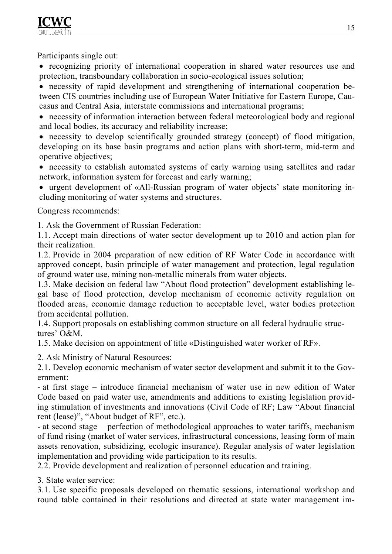

Participants single out:

• recognizing priority of international cooperation in shared water resources use and protection, transboundary collaboration in socio-ecological issues solution;

• necessity of rapid development and strengthening of international cooperation between CIS countries including use of European Water Initiative for Eastern Europe, Caucasus and Central Asia, interstate commissions and international programs;

• necessity of information interaction between federal meteorological body and regional and local bodies, its accuracy and reliability increase;

• necessity to develop scientifically grounded strategy (concept) of flood mitigation, developing on its base basin programs and action plans with short-term, mid-term and operative objectives;

• necessity to establish automated systems of early warning using satellites and radar network, information system for forecast and early warning;

• urgent development of «All-Russian program of water objects' state monitoring including monitoring of water systems and structures.

Congress recommends:

1. Ask the Government of Russian Federation:

1.1. Accept main directions of water sector development up to 2010 and action plan for their realization.

1.2. Provide in 2004 preparation of new edition of RF Water Code in accordance with approved concept, basin principle of water management and protection, legal regulation of ground water use, mining non-metallic minerals from water objects.

1.3. Make decision on federal law "About flood protection" development establishing legal base of flood protection, develop mechanism of economic activity regulation on flooded areas, economic damage reduction to acceptable level, water bodies protection from accidental pollution.

1.4. Support proposals on establishing common structure on all federal hydraulic structures' O&M.

1.5. Make decision on appointment of title «Distinguished water worker of RF».

2. Ask Ministry of Natural Resources:

2.1. Develop economic mechanism of water sector development and submit it to the Government:

- at first stage – introduce financial mechanism of water use in new edition of Water Code based on paid water use, amendments and additions to existing legislation providing stimulation of investments and innovations (Civil Code of RF; Law "About financial rent (lease)", "About budget of RF", etc.).

- at second stage – perfection of methodological approaches to water tariffs, mechanism of fund rising (market of water services, infrastructural concessions, leasing form of main assets renovation, subsidizing, ecologic insurance). Regular analysis of water legislation implementation and providing wide participation to its results.

2.2. Provide development and realization of personnel education and training.

3. State water service:

3.1. Use specific proposals developed on thematic sessions, international workshop and round table contained in their resolutions and directed at state water management im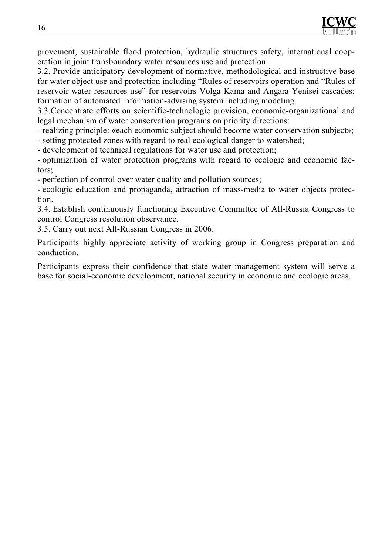provement, sustainable flood protection, hydraulic structures safety, international cooperation in joint transboundary water resources use and protection.

3.2. Provide anticipatory development of normative, methodological and instructive base for water object use and protection including "Rules of reservoirs operation and "Rules of reservoir water resources use" for reservoirs Volga-Kama and Angara-Yenisei cascades; formation of automated information-advising system including modeling

3.3.Concentrate efforts on scientific-technologic provision, economic-organizational and legal mechanism of water conservation programs on priority directions:

- realizing principle: «each economic subject should become water conservation subject»;

- setting protected zones with regard to real ecological danger to watershed;

- development of technical regulations for water use and protection;

- optimization of water protection programs with regard to ecologic and economic factors;

- perfection of control over water quality and pollution sources;

- ecologic education and propaganda, attraction of mass-media to water objects protection.

3.4. Establish continuously functioning Executive Committee of All-Russia Congress to control Congress resolution observance.

3.5. Carry out next All-Russian Congress in 2006.

Participants highly appreciate activity of working group in Congress preparation and conduction.

Participants express their confidence that state water management system will serve a base for social-economic development, national security in economic and ecologic areas.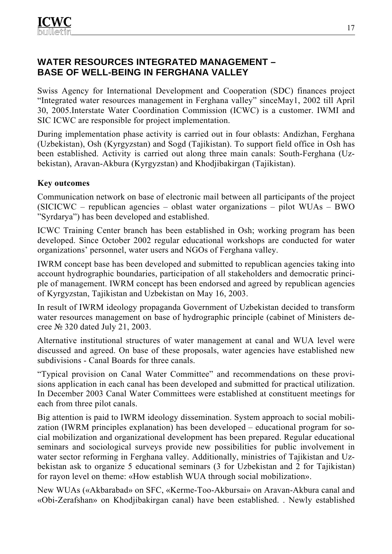# **WATER RESOURCES INTEGRATED MANAGEMENT – BASE OF WELL-BEING IN FERGHANA VALLEY**

Swiss Agency for International Development and Cooperation (SDC) finances project "Integrated water resources management in Ferghana valley" sinceMay1, 2002 till April 30, 2005.Interstate Water Coordination Commission (ICWC) is a customer. IWMI and SIC ICWC are responsible for project implementation.

During implementation phase activity is carried out in four oblasts: Andizhan, Ferghana (Uzbekistan), Osh (Kyrgyzstan) and Sogd (Tajikistan). To support field office in Osh has been established. Activity is carried out along three main canals: South-Ferghana (Uzbekistan), Aravan-Akbura (Kyrgyzstan) and Khodjibakirgan (Tajikistan).

#### **Key outcomes**

Communication network on base of electronic mail between all participants of the project (SICICWC – republican agencies – oblast water organizations – pilot WUAs – BWO "Syrdarya") has been developed and established.

ICWC Training Center branch has been established in Osh; working program has been developed. Since October 2002 regular educational workshops are conducted for water organizations' personnel, water users and NGOs of Ferghana valley.

IWRM concept base has been developed and submitted to republican agencies taking into account hydrographic boundaries, participation of all stakeholders and democratic principle of management. IWRM concept has been endorsed and agreed by republican agencies of Kyrgyzstan, Tajikistan and Uzbekistan on May 16, 2003.

In result of IWRM ideology propaganda Government of Uzbekistan decided to transform water resources management on base of hydrographic principle (cabinet of Ministers decree № 320 dated July 21, 2003.

Alternative institutional structures of water management at canal and WUA level were discussed and agreed. On base of these proposals, water agencies have established new subdivisions - Canal Boards for three canals.

"Typical provision on Canal Water Committee" and recommendations on these provisions application in each canal has been developed and submitted for practical utilization. In December 2003 Canal Water Committees were established at constituent meetings for each from three pilot canals.

Big attention is paid to IWRM ideology dissemination. System approach to social mobilization (IWRM principles explanation) has been developed – educational program for social mobilization and organizational development has been prepared. Regular educational seminars and sociological surveys provide new possibilities for public involvement in water sector reforming in Ferghana valley. Additionally, ministries of Tajikistan and Uzbekistan ask to organize 5 educational seminars (3 for Uzbekistan and 2 for Tajikistan) for rayon level on theme: «How establish WUA through social mobilization».

New WUAs («Akbarabad» on SFC, «Kerme-Too-Akbursai» on Aravan-Akbura canal and «Obi-Zerafshan» on Khodjibakirgan canal) have been established. . Newly established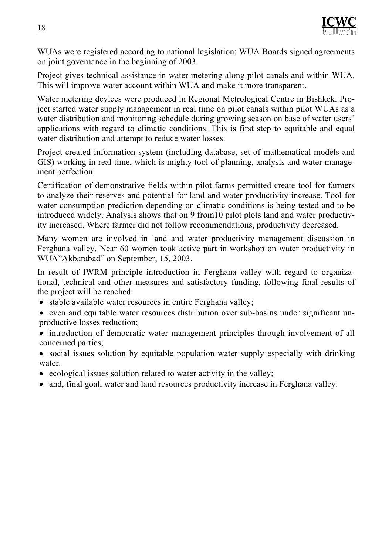WUAs were registered according to national legislation; WUA Boards signed agreements on joint governance in the beginning of 2003.

Project gives technical assistance in water metering along pilot canals and within WUA. This will improve water account within WUA and make it more transparent.

Water metering devices were produced in Regional Metrological Centre in Bishkek. Project started water supply management in real time on pilot canals within pilot WUAs as a water distribution and monitoring schedule during growing season on base of water users' applications with regard to climatic conditions. This is first step to equitable and equal water distribution and attempt to reduce water losses.

Project created information system (including database, set of mathematical models and GIS) working in real time, which is mighty tool of planning, analysis and water management perfection.

Certification of demonstrative fields within pilot farms permitted create tool for farmers to analyze their reserves and potential for land and water productivity increase. Tool for water consumption prediction depending on climatic conditions is being tested and to be introduced widely. Analysis shows that on 9 from10 pilot plots land and water productivity increased. Where farmer did not follow recommendations, productivity decreased.

Many women are involved in land and water productivity management discussion in Ferghana valley. Near 60 women took active part in workshop on water productivity in WUA"Akbarabad" on September, 15, 2003.

In result of IWRM principle introduction in Ferghana valley with regard to organizational, technical and other measures and satisfactory funding, following final results of the project will be reached:

- stable available water resources in entire Ferghana valley;
- even and equitable water resources distribution over sub-basins under significant unproductive losses reduction;
- introduction of democratic water management principles through involvement of all concerned parties;
- social issues solution by equitable population water supply especially with drinking water.
- ecological issues solution related to water activity in the valley;
- and, final goal, water and land resources productivity increase in Ferghana valley.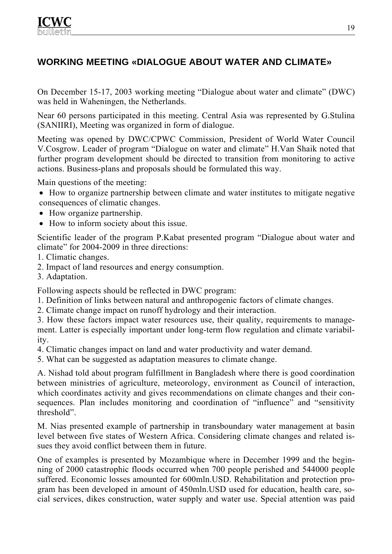# **WORKING MEETING «DIALOGUE ABOUT WATER AND CLIMATE»**

On December 15-17, 2003 working meeting "Dialogue about water and climate" (DWC) was held in Waheningen, the Netherlands.

Near 60 persons participated in this meeting. Central Asia was represented by G.Stulina (SANIIRI), Meeting was organized in form of dialogue.

Meeting was opened by DWC/CPWC Commission, President of World Water Council V.Cosgrow. Leader of program "Dialogue on water and climate" H.Van Shaik noted that further program development should be directed to transition from monitoring to active actions. Business-plans and proposals should be formulated this way.

Main questions of the meeting:

- How to organize partnership between climate and water institutes to mitigate negative consequences of climatic changes.
- How organize partnership.
- How to inform society about this issue.

Scientific leader of the program P.Kabat presented program "Dialogue about water and climate" for 2004-2009 in three directions:

- 1. Climatic changes.
- 2. Impact of land resources and energy consumption.
- 3. Adaptation.

Following aspects should be reflected in DWC program:

- 1. Definition of links between natural and anthropogenic factors of climate changes.
- 2. Climate change impact on runoff hydrology and their interaction.

3. How these factors impact water resources use, their quality, requirements to management. Latter is especially important under long-term flow regulation and climate variability.

4. Climatic changes impact on land and water productivity and water demand.

5. What can be suggested as adaptation measures to climate change.

А. Nishad told about program fulfillment in Bangladesh where there is good coordination between ministries of agriculture, meteorology, environment as Council of interaction, which coordinates activity and gives recommendations on climate changes and their consequences. Plan includes monitoring and coordination of "influence" and "sensitivity threshold".

М. Nias presented example of partnership in transboundary water management at basin level between five states of Western Africa. Considering climate changes and related issues they avoid conflict between them in future.

One of examples is presented by Mozambique where in December 1999 and the beginning of 2000 catastrophic floods occurred when 700 people perished and 544000 people suffered. Economic losses amounted for 600mln.USD. Rehabilitation and protection program has been developed in amount of 450mln.USD used for education, health care, social services, dikes construction, water supply and water use. Special attention was paid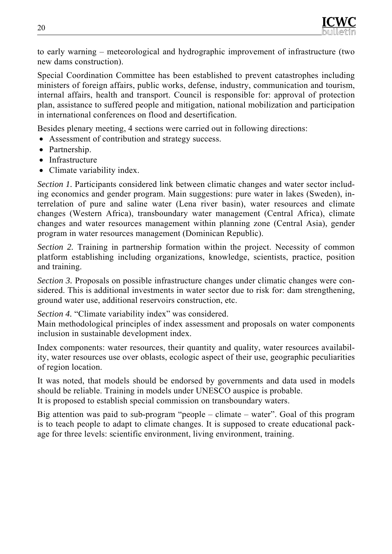to early warning – meteorological and hydrographic improvement of infrastructure (two new dams construction).

Special Coordination Committee has been established to prevent catastrophes including ministers of foreign affairs, public works, defense, industry, communication and tourism, internal affairs, health and transport. Council is responsible for: approval of protection plan, assistance to suffered people and mitigation, national mobilization and participation in international conferences on flood and desertification.

Besides plenary meeting, 4 sections were carried out in following directions:

- Assessment of contribution and strategy success.
- Partnership.
- Infrastructure
- Climate variability index.

*Section 1.* Participants considered link between climatic changes and water sector including economics and gender program. Main suggestions: pure water in lakes (Sweden), interrelation of pure and saline water (Lena river basin), water resources and climate changes (Western Africa), transboundary water management (Central Africa), climate changes and water resources management within planning zone (Central Asia), gender program in water resources management (Dominican Republic).

*Section 2.* Training in partnership formation within the project. Necessity of common platform establishing including organizations, knowledge, scientists, practice, position and training.

*Section 3.* Proposals on possible infrastructure changes under climatic changes were considered. This is additional investments in water sector due to risk for: dam strengthening, ground water use, additional reservoirs construction, etc.

*Section 4.* "Climate variability index" was considered.

Main methodological principles of index assessment and proposals on water components inclusion in sustainable development index.

Index components: water resources, their quantity and quality, water resources availability, water resources use over oblasts, ecologic aspect of their use, geographic peculiarities of region location.

It was noted, that models should be endorsed by governments and data used in models should be reliable. Training in models under UNESCO auspice is probable. It is proposed to establish special commission on transboundary waters.

Big attention was paid to sub-program "people – climate – water". Goal of this program is to teach people to adapt to climate changes. It is supposed to create educational package for three levels: scientific environment, living environment, training.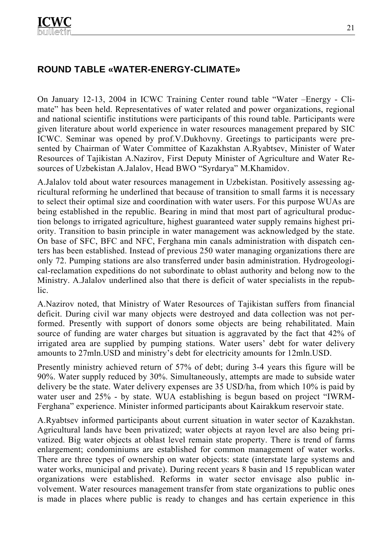# **ROUND TABLE «WATER-ENERGY-CLIMATE»**

On January 12-13, 2004 in ICWC Training Center round table "Water –Energy - Climate" has been held. Representatives of water related and power organizations, regional and national scientific institutions were participants of this round table. Participants were given literature about world experience in water resources management prepared by SIC ICWC. Seminar was opened by prof.V.Dukhovny. Greetings to participants were presented by Chairman of Water Committee of Kazakhstan A.Ryabtsev, Minister of Water Resources of Tajikistan A.Nazirov, First Deputy Minister of Agriculture and Water Resources of Uzbekistan A.Jalalov, Head BWO "Syrdarya" M.Khamidov.

А.Jalalov told about water resources management in Uzbekistan. Positively assessing agricultural reforming he underlined that because of transition to small farms it is necessary to select their optimal size and coordination with water users. For this purpose WUAs are being established in the republic. Bearing in mind that most part of agricultural production belongs to irrigated agriculture, highest guaranteed water supply remains highest priority. Transition to basin principle in water management was acknowledged by the state. On base of SFC, BFC and NFC, Ferghana min canals administration with dispatch centers has been established. Instead of previous 250 water managing organizations there are only 72. Pumping stations are also transferred under basin administration. Hydrogeological-reclamation expeditions do not subordinate to oblast authority and belong now to the Ministry. A.Jalalov underlined also that there is deficit of water specialists in the republic.

А.Nazirov noted, that Ministry of Water Resources of Tajikistan suffers from financial deficit. During civil war many objects were destroyed and data collection was not performed. Presently with support of donors some objects are being rehabilitated. Main source of funding are water charges but situation is aggravated by the fact that 42% of irrigated area are supplied by pumping stations. Water users' debt for water delivery amounts to 27mln.USD and ministry's debt for electricity amounts for 12mln.USD.

Presently ministry achieved return of 57% of debt; during 3-4 years this figure will be 90%. Water supply reduced by 30%. Simultaneously, attempts are made to subside water delivery be the state. Water delivery expenses are 35 USD/ha, from which 10% is paid by water user and 25% - by state. WUA establishing is begun based on project "IWRM-Ferghana" experience. Minister informed participants about Kairakkum reservoir state.

А.Ryabtsev informed participants about current situation in water sector of Kazakhstan. Agricultural lands have been privatized; water objects at rayon level are also being privatized. Big water objects at oblast level remain state property. There is trend of farms enlargement; condominiums are established for common management of water works. There are three types of ownership on water objects: state (interstate large systems and water works, municipal and private). During recent years 8 basin and 15 republican water organizations were established. Reforms in water sector envisage also public involvement. Water resources management transfer from state organizations to public ones is made in places where public is ready to changes and has certain experience in this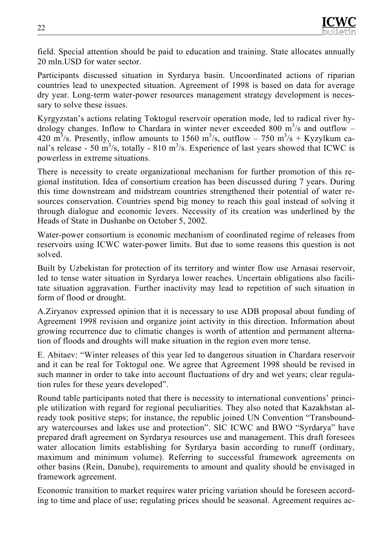field. Special attention should be paid to education and training. State allocates annually 20 mln.USD for water sector.

Participants discussed situation in Syrdarya basin. Uncoordinated actions of riparian countries lead to unexpected situation. Agreement of 1998 is based on data for average dry year. Long-term water-power resources management strategy development is necessary to solve these issues.

Kyrgyzstan's actions relating Toktogul reservoir operation mode, led to radical river hydrology changes. Inflow to Chardara in winter never exceeded 800  $\mathrm{m}^3$ /s and outflow – 420 m<sup>3</sup>/s. Presently, inflow amounts to 1560 m<sup>3</sup>/s, outflow – 750 m<sup>3</sup>/s + Kyzylkum canal's release - 50 m<sup>3</sup>/s, totally - 810 m<sup>3</sup>/s. Experience of last years showed that ICWC is powerless in extreme situations.

There is necessity to create organizational mechanism for further promotion of this regional institution. Idea of consortium creation has been discussed during 7 years. During this time downstream and midstream countries strengthened their potential of water resources conservation. Countries spend big money to reach this goal instead of solving it through dialogue and economic levers. Necessity of its creation was underlined by the Heads of State in Dushanbe on October 5, 2002.

Water-power consortium is economic mechanism of coordinated regime of releases from reservoirs using ICWC water-power limits. But due to some reasons this question is not solved.

Built by Uzbekistan for protection of its territory and winter flow use Arnasai reservoir, led to tense water situation in Syrdarya lower reaches. Uncertain obligations also facilitate situation aggravation. Further inactivity may lead to repetition of such situation in form of flood or drought.

А.Ziryanov expressed opinion that it is necessary to use ADB proposal about funding of Agreement 1998 revision and organize joint activity in this direction. Information about growing recurrence due to climatic changes is worth of attention and permanent alternation of floods and droughts will make situation in the region even more tense.

E. Аbitaev: "Winter releases of this year led to dangerous situation in Chardara reservoir and it can be real for Toktogul one. We agree that Agreement 1998 should be revised in such manner in order to take into account fluctuations of dry and wet years; clear regulation rules for these years developed".

Round table participants noted that there is necessity to international conventions' principle utilization with regard for regional peculiarities. They also noted that Kazakhstan already took positive steps; for instance, the republic joined UN Convention "Transboundary watercourses and lakes use and protection". SIC ICWC and BWO "Syrdarya" have prepared draft agreement on Syrdarya resources use and management. This draft foresees water allocation limits establishing for Syrdarya basin according to runoff (ordinary, maximum and minimum volume). Referring to successful framework agreements on other basins (Rein, Danube), requirements to amount and quality should be envisaged in framework agreement.

Economic transition to market requires water pricing variation should be foreseen according to time and place of use; regulating prices should be seasonal. Agreement requires ac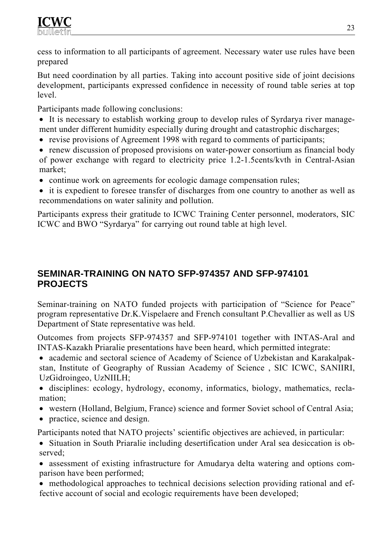cess to information to all participants of agreement. Necessary water use rules have been prepared

But need coordination by all parties. Taking into account positive side of joint decisions development, participants expressed confidence in necessity of round table series at top level.

Participants made following conclusions:

- It is necessary to establish working group to develop rules of Syrdarya river management under different humidity especially during drought and catastrophic discharges;
- revise provisions of Agreement 1998 with regard to comments of participants;
- renew discussion of proposed provisions on water-power consortium as financial body of power exchange with regard to electricity price 1.2-1.5cents/kvth in Central-Asian market;
- continue work on agreements for ecologic damage compensation rules;
- it is expedient to foresee transfer of discharges from one country to another as well as recommendations on water salinity and pollution.

Participants express their gratitude to ICWC Training Center personnel, moderators, SIC ICWC and BWO "Syrdarya" for carrying out round table at high level.

# **SEMINAR-TRAINING ON NATO SFP-974357 AND SFP-974101 PROJECTS**

Seminar-training on NATO funded projects with participation of "Science for Peace" program representative Dr.K.Vispelaere and French consultant P.Chevallier as well as US Department of State representative was held.

Outcomes from projects SFP-974357 and SFP-974101 together with INTAS-Aral and INTAS-Kazakh Priaralie presentations have been heard, which permitted integrate:

- academic and sectoral science of Academy of Science of Uzbekistan and Karakalpakstan, Institute of Geography of Russian Academy of Science , SIC ICWC, SANIIRI, UzGidroingeo, UzNIILH;
- disciplines: ecology, hydrology, economy, informatics, biology, mathematics, reclamation;
- western (Holland, Belgium, France) science and former Soviet school of Central Asia;
- practice, science and design.

Participants noted that NATO projects' scientific objectives are achieved, in particular:

- Situation in South Priaralie including desertification under Aral sea desiccation is observed;
- assessment of existing infrastructure for Amudarya delta watering and options comparison have been performed;
- methodological approaches to technical decisions selection providing rational and effective account of social and ecologic requirements have been developed;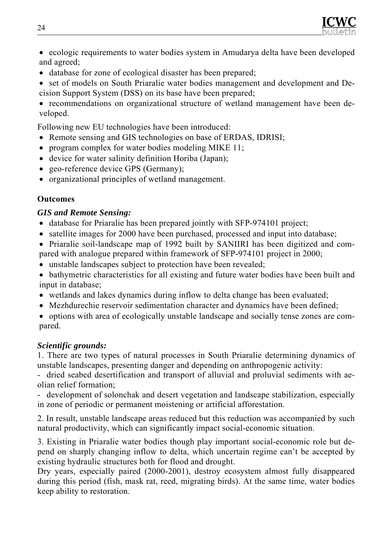

• ecologic requirements to water bodies system in Amudarya delta have been developed and agreed;

- database for zone of ecological disaster has been prepared;
- set of models on South Priaralie water bodies management and development and Decision Support System (DSS) on its base have been prepared;

• recommendations on organizational structure of wetland management have been developed.

Following new EU technologies have been introduced:

- Remote sensing and GIS technologies on base of ERDAS, IDRISI;
- program complex for water bodies modeling MIKE 11;
- device for water salinity definition Horiba (Japan);
- geo-reference device GPS (Germany);
- organizational principles of wetland management.

#### **Outcomes**

#### *GIS and Remote Sensing:*

- database for Priaralie has been prepared jointly with SFP-974101 project;
- satellite images for 2000 have been purchased, processed and input into database;

• Priaralie soil-landscape map of 1992 built by SANIIRI has been digitized and compared with analogue prepared within framework of SFP-974101 project in 2000;

• unstable landscapes subject to protection have been revealed;

• bathymetric characteristics for all existing and future water bodies have been built and input in database;

- wetlands and lakes dynamics during inflow to delta change has been evaluated;
- Mezhdurechie reservoir sedimentation character and dynamics have been defined;
- options with area of ecologically unstable landscape and socially tense zones are compared.

#### *Scientific grounds:*

1. There are two types of natural processes in South Priaralie determining dynamics of unstable landscapes, presenting danger and depending on anthropogenic activity:

- dried seabed desertification and transport of alluvial and proluvial sediments with aeolian relief formation;

- development of solonchak and desert vegetation and landscape stabilization, especially in zone of periodic or permanent moistening or artificial afforestation.

2. In result, unstable landscape areas reduced but this reduction was accompanied by such natural productivity, which can significantly impact social-economic situation.

3. Existing in Priaralie water bodies though play important social-economic role but depend on sharply changing inflow to delta, which uncertain regime can't be accepted by existing hydraulic structures both for flood and drought.

Dry years, especially paired (2000-2001), destroy ecosystem almost fully disappeared during this period (fish, mask rat, reed, migrating birds). At the same time, water bodies keep ability to restoration.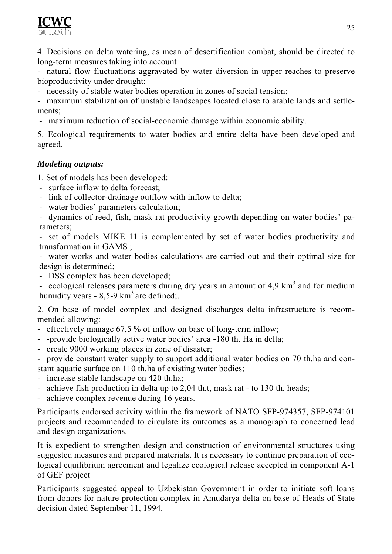4. Decisions on delta watering, as mean of desertification combat, should be directed to long-term measures taking into account:

- natural flow fluctuations aggravated by water diversion in upper reaches to preserve bioproductivity under drought;

- necessity of stable water bodies operation in zones of social tension;

- maximum stabilization of unstable landscapes located close to arable lands and settlements;

- maximum reduction of social-economic damage within economic ability.

5. Ecological requirements to water bodies and entire delta have been developed and agreed.

#### *Modeling outputs:*

1. Set of models has been developed:

- surface inflow to delta forecast;
- link of collector-drainage outflow with inflow to delta;
- water bodies' parameters calculation;
- dynamics of reed, fish, mask rat productivity growth depending on water bodies' parameters;

- set of models MIKE 11 is complemented by set of water bodies productivity and transformation in GAMS ;

- water works and water bodies calculations are carried out and their optimal size for design is determined;

- DSS complex has been developed;

- ecological releases parameters during dry years in amount of  $4.9 \text{ km}^3$  and for medium humidity years  $-8,5-9$  km<sup>3</sup> are defined;.

2. On base of model complex and designed discharges delta infrastructure is recommended allowing:

- effectively manage 67,5 % of inflow on base of long-term inflow;
- -provide biologically active water bodies' area -180 th. Ha in delta;
- create 9000 working places in zone of disaster;

- provide constant water supply to support additional water bodies on 70 th.ha and constant aquatic surface on 110 th.ha of existing water bodies;

- increase stable landscape on 420 th.ha;
- achieve fish production in delta up to 2,04 th.t, mask rat to 130 th. heads;
- achieve complex revenue during 16 years.

Participants endorsed activity within the framework of NATO SFP-974357, SFP-974101 projects and recommended to circulate its outcomes as a monograph to concerned lead and design organizations.

It is expedient to strengthen design and construction of environmental structures using suggested measures and prepared materials. It is necessary to continue preparation of ecological equilibrium agreement and legalize ecological release accepted in component A-1 of GEF project

Participants suggested appeal to Uzbekistan Government in order to initiate soft loans from donors for nature protection complex in Amudarya delta on base of Heads of State decision dated September 11, 1994.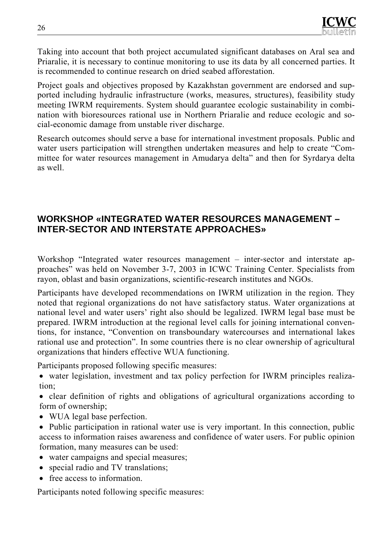Taking into account that both project accumulated significant databases on Aral sea and Priaralie, it is necessary to continue monitoring to use its data by all concerned parties. It is recommended to continue research on dried seabed afforestation.

Project goals and objectives proposed by Kazakhstan government are endorsed and supported including hydraulic infrastructure (works, measures, structures), feasibility study meeting IWRM requirements. System should guarantee ecologic sustainability in combination with bioresources rational use in Northern Priaralie and reduce ecologic and social-economic damage from unstable river discharge.

Research outcomes should serve a base for international investment proposals. Public and water users participation will strengthen undertaken measures and help to create "Committee for water resources management in Amudarya delta" and then for Syrdarya delta as well.

### **WORKSHOP «INTEGRATED WATER RESOURCES MANAGEMENT – INTER-SECTOR AND INTERSTATE APPROACHES»**

Workshop "Integrated water resources management – inter-sector and interstate approaches<sup>3</sup> was held on November 3-7, 2003 in ICWC Training Center. Specialists from rayon, oblast and basin organizations, scientific-research institutes and NGOs.

Participants have developed recommendations on IWRM utilization in the region. They noted that regional organizations do not have satisfactory status. Water organizations at national level and water users' right also should be legalized. IWRM legal base must be prepared. IWRM introduction at the regional level calls for joining international conventions, for instance, "Convention on transboundary watercourses and international lakes rational use and protection". In some countries there is no clear ownership of agricultural organizations that hinders effective WUA functioning.

Participants proposed following specific measures:

• water legislation, investment and tax policy perfection for IWRM principles realization;

• clear definition of rights and obligations of agricultural organizations according to form of ownership;

- WUA legal base perfection.
- Public participation in rational water use is very important. In this connection, public access to information raises awareness and confidence of water users. For public opinion formation, many measures can be used:
- water campaigns and special measures;
- special radio and TV translations;
- free access to information.

Participants noted following specific measures: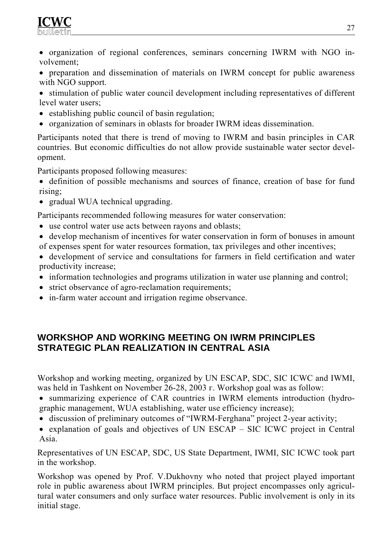

- organization of regional conferences, seminars concerning IWRM with NGO involvement;
- preparation and dissemination of materials on IWRM concept for public awareness with NGO support.
- stimulation of public water council development including representatives of different level water users;
- establishing public council of basin regulation;
- organization of seminars in oblasts for broader IWRM ideas dissemination.

Participants noted that there is trend of moving to IWRM and basin principles in CAR countries. But economic difficulties do not allow provide sustainable water sector development.

Participants proposed following measures:

• definition of possible mechanisms and sources of finance, creation of base for fund rising;

• gradual WUA technical upgrading.

Participants recommended following measures for water conservation:

- use control water use acts between rayons and oblasts;
- develop mechanism of incentives for water conservation in form of bonuses in amount of expenses spent for water resources formation, tax privileges and other incentives;
- development of service and consultations for farmers in field certification and water productivity increase;
- information technologies and programs utilization in water use planning and control;
- strict observance of agro-reclamation requirements;
- in-farm water account and irrigation regime observance.

#### **WORKSHOP AND WORKING MEETING ON IWRM PRINCIPLES STRATEGIC PLAN REALIZATION IN CENTRAL ASIA**

Workshop and working meeting, organized by UN ESCAP, SDC, SIC ICWC and IWMI, was held in Tashkent on November 26-28, 2003 г. Workshop goal was as follow:

• summarizing experience of CAR countries in IWRM elements introduction (hydrographic management, WUA establishing, water use efficiency increase);

- discussion of preliminary outcomes of "IWRM-Ferghana" project 2-year activity;
- explanation of goals and objectives of UN ESCAP SIC ICWC project in Central Asia.

Representatives of UN ESCAP, SDC, US State Department, IWMI, SIC ICWC took part in the workshop.

Workshop was opened by Prof. V.Dukhovny who noted that project played important role in public awareness about IWRM principles. But project encompasses only agricultural water consumers and only surface water resources. Public involvement is only in its initial stage.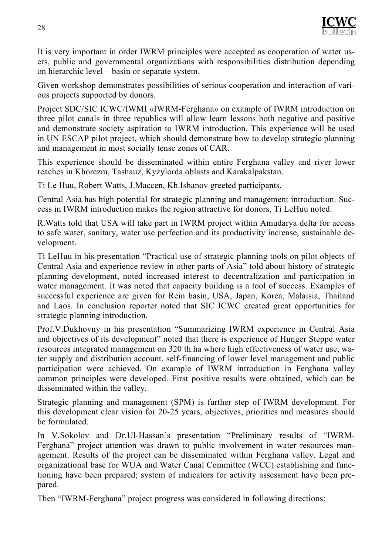It is very important in order IWRM principles were accepted as cooperation of water users, public and governmental organizations with responsibilities distribution depending on hierarchic level – basin or separate system.

Given workshop demonstrates possibilities of serious cooperation and interaction of various projects supported by donors.

Project SDC/SIC ICWC/IWMI «IWRM-Ferghana» on example of IWRM introduction on three pilot canals in three republics will allow learn lessons both negative and positive and demonstrate society aspiration to IWRM introduction. This experience will be used in UN ESCAP pilot project, which should demonstrate how to develop strategic planning and management in most socially tense zones of CAR.

This experience should be disseminated within entire Ferghana valley and river lower reaches in Khorezm, Tashauz, Kyzylorda oblasts and Karakalpakstan.

Ti Le Huu, Robert Watts, J.Maccen, Kh.Ishanov greeted participants.

Central Asia has high potential for strategic planning and management introduction. Success in IWRM introduction makes the region attractive for donors, Ti LeHuu noted.

R.Watts told that USA will take part in IWRM project within Amudarya delta for access to safe water, sanitary, water use perfection and its productivity increase, sustainable development.

Ti LeHuu in his presentation "Practical use of strategic planning tools on pilot objects of Central Asia and experience review in other parts of Asia" told about history of strategic planning development, noted increased interest to decentralization and participation in water management. It was noted that capacity building is a tool of success. Examples of successful experience are given for Rein basin, USA, Japan, Korea, Malaisia, Thailand and Laos. In conclusion reporter noted that SIC ICWC created great opportunities for strategic planning introduction.

Prof.V.Dukhovny in his presentation "Summarizing IWRM experience in Central Asia and objectives of its development" noted that there is experience of Hunger Steppe water resources integrated management on 320 th.ha where high effectiveness of water use, water supply and distribution account, self-financing of lower level management and public participation were achieved. On example of IWRM introduction in Ferghana valley common principles were developed. First positive results were obtained, which can be disseminated within the valley.

Strategic planning and management (SPM) is further step of IWRM development. For this development clear vision for 20-25 years, objectives, priorities and measures should be formulated.

In V.Sokolov and Dr.Ul-Hassan's presentation "Preliminary results of "IWRM-Ferghana" project attention was drawn to public involvement in water resources management. Results of the project can be disseminated within Ferghana valley. Legal and organizational base for WUA and Water Canal Committee (WCC) establishing and functioning have been prepared; system of indicators for activity assessment have been prepared.

Then "IWRM-Ferghana" project progress was considered in following directions: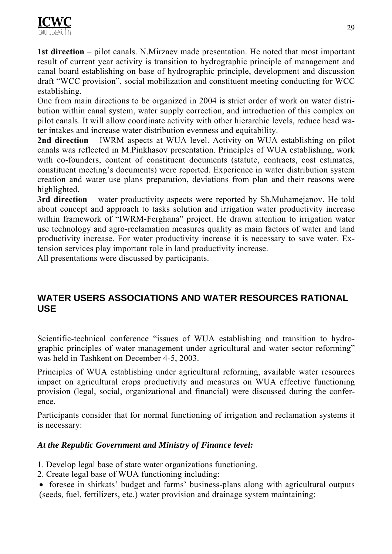**1st direction** – pilot canals. N.Mirzaev made presentation. He noted that most important result of current year activity is transition to hydrographic principle of management and canal board establishing on base of hydrographic principle, development and discussion draft "WCC provision", social mobilization and constituent meeting conducting for WCC establishing.

One from main directions to be organized in 2004 is strict order of work on water distribution within canal system, water supply correction, and introduction of this complex on pilot canals. It will allow coordinate activity with other hierarchic levels, reduce head water intakes and increase water distribution evenness and equitability.

**2nd direction** – IWRM aspects at WUA level. Activity on WUA establishing on pilot canals was reflected in M.Pinkhasov presentation. Principles of WUA establishing, work with co-founders, content of constituent documents (statute, contracts, cost estimates, constituent meeting's documents) were reported. Experience in water distribution system creation and water use plans preparation, deviations from plan and their reasons were highlighted.

**3rd direction** – water productivity aspects were reported by Sh.Muhamejanov. He told about concept and approach to tasks solution and irrigation water productivity increase within framework of "IWRM-Ferghana" project. He drawn attention to irrigation water use technology and agro-reclamation measures quality as main factors of water and land productivity increase. For water productivity increase it is necessary to save water. Extension services play important role in land productivity increase.

All presentations were discussed by participants.

### **WATER USERS ASSOCIATIONS AND WATER RESOURCES RATIONAL USE**

Scientific-technical conference "issues of WUA establishing and transition to hydrographic principles of water management under agricultural and water sector reforming" was held in Tashkent on December 4-5, 2003.

Principles of WUA establishing under agricultural reforming, available water resources impact on agricultural crops productivity and measures on WUA effective functioning provision (legal, social, organizational and financial) were discussed during the conference.

Participants consider that for normal functioning of irrigation and reclamation systems it is necessary:

#### *At the Republic Government and Ministry of Finance level:*

1. Develop legal base of state water organizations functioning.

- 2. Create legal base of WUA functioning including:
- foresee in shirkats' budget and farms' business-plans along with agricultural outputs (seeds, fuel, fertilizers, etc.) water provision and drainage system maintaining;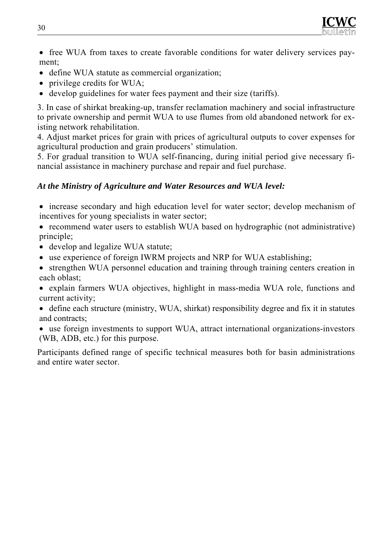

- free WUA from taxes to create favorable conditions for water delivery services payment;
- define WUA statute as commercial organization;
- privilege credits for WUA;
- develop guidelines for water fees payment and their size (tariffs).

3. In case of shirkat breaking-up, transfer reclamation machinery and social infrastructure to private ownership and permit WUA to use flumes from old abandoned network for existing network rehabilitation.

4. Adjust market prices for grain with prices of agricultural outputs to cover expenses for agricultural production and grain producers' stimulation.

5. For gradual transition to WUA self-financing, during initial period give necessary financial assistance in machinery purchase and repair and fuel purchase.

#### *At the Ministry of Agriculture and Water Resources and WUA level:*

- increase secondary and high education level for water sector; develop mechanism of incentives for young specialists in water sector;
- recommend water users to establish WUA based on hydrographic (not administrative) principle;
- develop and legalize WUA statute;
- use experience of foreign IWRM projects and NRP for WUA establishing;
- strengthen WUA personnel education and training through training centers creation in each oblast;
- explain farmers WUA objectives, highlight in mass-media WUA role, functions and current activity;
- define each structure (ministry, WUA, shirkat) responsibility degree and fix it in statutes and contracts;
- use foreign investments to support WUA, attract international organizations-investors (WB, ADB, etc.) for this purpose.

Participants defined range of specific technical measures both for basin administrations and entire water sector.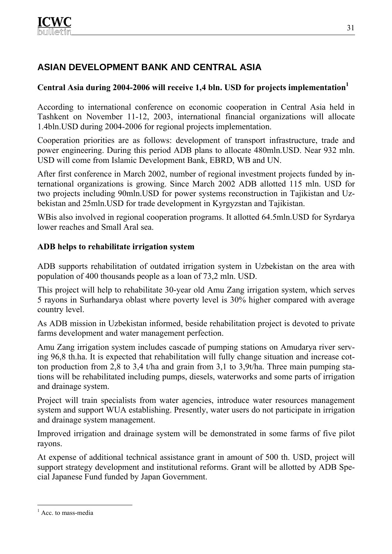# **ASIAN DEVELOPMENT BANK AND CENTRAL ASIA**

### Central Asia during 2004-2006 will receive 1,4 bln. USD for projects implementation<sup>1</sup>

According to international conference on economic cooperation in Central Asia held in Tashkent on November 11-12, 2003, international financial organizations will allocate 1.4bln.USD during 2004-2006 for regional projects implementation.

Cooperation priorities are as follows: development of transport infrastructure, trade and power engineering. During this period ADB plans to allocate 480mln.USD. Near 932 mln. USD will come from Islamic Development Bank, EBRD, WB and UN.

After first conference in March 2002, number of regional investment projects funded by international organizations is growing. Since March 2002 ADB allotted 115 mln. USD for two projects including 90mln.USD for power systems reconstruction in Tajikistan and Uzbekistan and 25mln.USD for trade development in Kyrgyzstan and Tajikistan.

WBis also involved in regional cooperation programs. It allotted 64.5mln.USD for Syrdarya lower reaches and Small Aral sea.

#### **ADB helps to rehabilitate irrigation system**

ADB supports rehabilitation of outdated irrigation system in Uzbekistan on the area with population of 400 thousands people as a loan of 73,2 mln. USD.

This project will help to rehabilitate 30-year old Amu Zang irrigation system, which serves 5 rayons in Surhandarya oblast where poverty level is 30% higher compared with average country level.

As ADB mission in Uzbekistan informed, beside rehabilitation project is devoted to private farms development and water management perfection.

Amu Zang irrigation system includes cascade of pumping stations on Amudarya river serving 96,8 th.ha. It is expected that rehabilitation will fully change situation and increase cotton production from 2,8 to 3,4 t/ha and grain from 3,1 to 3,9t/ha. Three main pumping stations will be rehabilitated including pumps, diesels, waterworks and some parts of irrigation and drainage system.

Project will train specialists from water agencies, introduce water resources management system and support WUA establishing. Presently, water users do not participate in irrigation and drainage system management.

Improved irrigation and drainage system will be demonstrated in some farms of five pilot rayons.

At expense of additional technical assistance grant in amount of 500 th. USD, project will support strategy development and institutional reforms. Grant will be allotted by ADB Special Japanese Fund funded by Japan Government.

 $\overline{a}$ 

<sup>&</sup>lt;sup>1</sup> Acc. to mass-media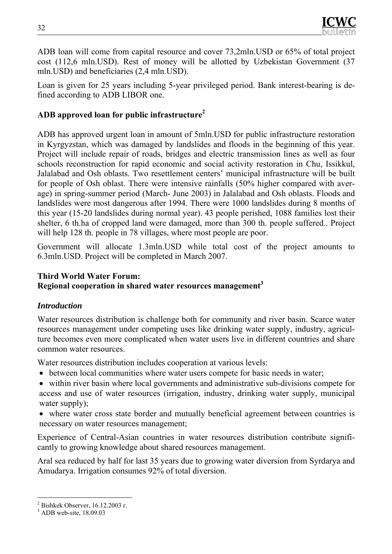ADB loan will come from capital resource and cover 73,2mln.USD or 65% of total project cost (112,6 mln.USD). Rest of money will be allotted by Uzbekistan Government (37 mln.USD) and beneficiaries (2,4 mln.USD).

Loan is given for 25 years including 5-year privileged period. Bank interest-bearing is defined according to ADB LIBOR one.

#### **ADB approved loan for public infrastructure2**

ADB has approved urgent loan in amount of 5mln.USD for public infrastructure restoration in Kyrgyzstan, which was damaged by landslides and floods in the beginning of this year. Project will include repair of roads, bridges and electric transmission lines as well as four schools reconstruction for rapid economic and social activity restoration in Chu, Issikkul, Jalalabad and Osh oblasts. Two resettlement centers' municipal infrastructure will be built for people of Osh oblast. There were intensive rainfalls (50% higher compared with average) in spring-summer period (March- June 2003) in Jalalabad and Osh oblasts. Floods and landslides were most dangerous after 1994. There were 1000 landslides during 8 months of this year (15-20 landslides during normal year). 43 people perished, 1088 families lost their shelter, 6 th.ha of cropped land were damaged, more than 300 th. people suffered.. Project will help 128 th. people in 78 villages, where most people are poor.

Government will allocate 1.3mln.USD while total cost of the project amounts to 6.3mln.USD. Project will be completed in March 2007.

#### **Third World Water Forum: Regional cooperation in shared water resources management3**

#### *Introduction*

Water resources distribution is challenge both for community and river basin. Scarce water resources management under competing uses like drinking water supply, industry, agriculture becomes even more complicated when water users live in different countries and share common water resources.

Water resources distribution includes cooperation at various levels:

- between local communities where water users compete for basic needs in water;
- within river basin where local governments and administrative sub-divisions compete for access and use of water resources (irrigation, industry, drinking water supply, municipal water supply);

• where water cross state border and mutually beneficial agreement between countries is necessary on water resources management;

Experience of Central-Asian countries in water resources distribution contribute significantly to growing knowledge about shared resources management.

Aral sea reduced by half for last 35 years due to growing water diversion from Syrdarya and Amudarya. Irrigation consumes 92% of total diversion.

<sup>&</sup>lt;sup>2</sup> Bishkek Observer, 16.12.2003 г.

 $3$  ADB web-site, 18.09.03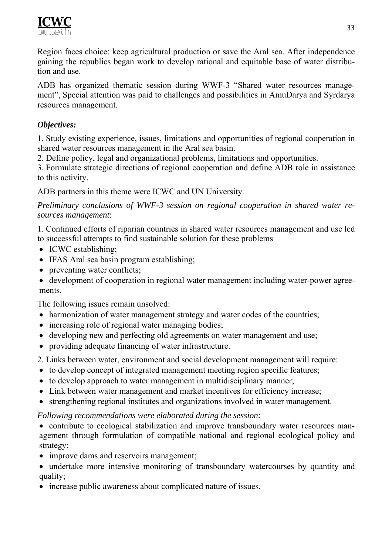Region faces choice: keep agricultural production or save the Aral sea. After independence gaining the republics began work to develop rational and equitable base of water distribution and use.

ADB has organized thematic session during WWF-3 "Shared water resources management", Special attention was paid to challenges and possibilities in AmuDarya and Syrdarya resources management.

#### *Objectives:*

1. Study existing experience, issues, limitations and opportunities of regional cooperation in shared water resources management in the Aral sea basin.

2. Define policy, legal and organizational problems, limitations and opportunities.

3. Formulate strategic directions of regional cooperation and define ADB role in assistance to this activity.

ADB partners in this theme were ICWC and UN University.

*Preliminary conclusions of WWF-3 session on regional cooperation in shared water resources management*:

1. Continued efforts of riparian countries in shared water resources management and use led to successful attempts to find sustainable solution for these problems

- ICWC establishing;
- IFAS Aral sea basin program establishing;
- preventing water conflicts;
- development of cooperation in regional water management including water-power agreements.

The following issues remain unsolved:

- harmonization of water management strategy and water codes of the countries;
- increasing role of regional water managing bodies;
- developing new and perfecting old agreements on water management and use;
- providing adequate financing of water infrastructure.

2. Links between water, environment and social development management will require:

- to develop concept of integrated management meeting region specific features;
- to develop approach to water management in multidisciplinary manner;
- Link between water management and market incentives for efficiency increase;
- strengthening regional institutes and organizations involved in water management.

*Following recommendations were elaborated during the session:* 

• contribute to ecological stabilization and improve transboundary water resources management through formulation of compatible national and regional ecological policy and strategy;

- improve dams and reservoirs management;
- undertake more intensive monitoring of transboundary watercourses by quantity and quality;
- increase public awareness about complicated nature of issues.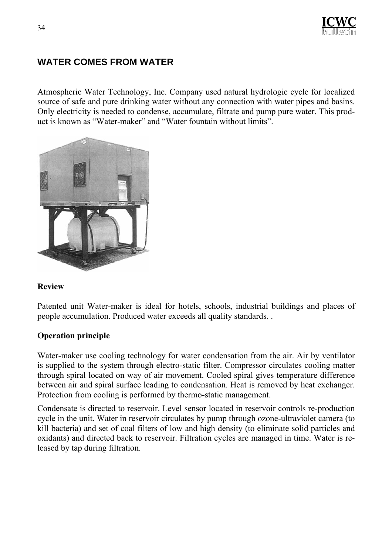# **WATER COMES FROM WATER**

Atmospheric Water Technology, Inc. Company used natural hydrologic cycle for localized source of safe and pure drinking water without any connection with water pipes and basins. Only electricity is needed to condense, accumulate, filtrate and pump pure water. This product is known as "Water-maker" and "Water fountain without limits".



#### **Review**

Patented unit Water-maker is ideal for hotels, schools, industrial buildings and places of people accumulation. Produced water exceeds all quality standards. .

#### **Operation principle**

Water-maker use cooling technology for water condensation from the air. Air by ventilator is supplied to the system through electro-static filter. Compressor circulates cooling matter through spiral located on way of air movement. Cooled spiral gives temperature difference between air and spiral surface leading to condensation. Heat is removed by heat exchanger. Protection from cooling is performed by thermo-static management.

Condensate is directed to reservoir. Level sensor located in reservoir controls re-production cycle in the unit. Water in reservoir circulates by pump through ozone-ultraviolet camera (to kill bacteria) and set of coal filters of low and high density (to eliminate solid particles and oxidants) and directed back to reservoir. Filtration cycles are managed in time. Water is released by tap during filtration.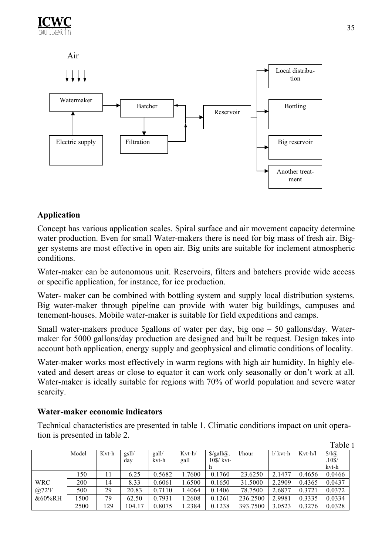

#### **Application**

Concept has various application scales. Spiral surface and air movement capacity determine water production. Even for small Water-makers there is need for big mass of fresh air. Bigger systems are most effective in open air. Big units are suitable for inclement atmospheric conditions.

Water-maker can be autonomous unit. Reservoirs, filters and batchers provide wide access or specific application, for instance, for ice production.

Water- maker can be combined with bottling system and supply local distribution systems. Big water-maker through pipeline can provide with water big buildings, campuses and tenement-houses. Mobile water-maker is suitable for field expeditions and camps.

Small water-makers produce 5gallons of water per day, big one – 50 gallons/day. Watermaker for 5000 gallons/day production are designed and built be request. Design takes into account both application, energy supply and geophysical and climatic conditions of locality.

Water-maker works most effectively in warm regions with high air humidity. In highly elevated and desert areas or close to equator it can work only seasonally or don't work at all. Water-maker is ideally suitable for regions with 70% of world population and severe water scarcity.

#### **Water-maker economic indicators**

Technical characteristics are presented in table 1. Climatic conditions impact on unit operation is presented in table 2.

|           |       |       |        |        |          |                                  |           |                  |           | Table 1 |
|-----------|-------|-------|--------|--------|----------|----------------------------------|-----------|------------------|-----------|---------|
|           | Model | Kvt-h | gsll/  | gall/  | $Kvt-h/$ | $\frac{\pi}{2}$ /gall $\omega$ . | $1/h$ our | $1/\kappa v$ t-h | $Kvt-h/l$ | \$/1@   |
|           |       |       | day    | kvt-h  | gall     | $10\$ kvt-                       |           |                  |           | .10S/   |
|           |       |       |        |        |          |                                  |           |                  |           | kvt-h   |
|           | 150   | 11    | 6.25   | 0.5682 | .7600    | 0.1760                           | 23.6250   | 2.1477           | 0.4656    | 0.0466  |
| WRC       | 200   | 14    | 8.33   | 0.6061 | 1.6500   | 0.1650                           | 31.5000   | 2.2909           | 0.4365    | 0.0437  |
| @72'F     | 500   | 29    | 20.83  | 0.7110 | .4064    | 0.1406                           | 78.7500   | 2.6877           | 0.3721    | 0.0372  |
| $&60\%RH$ | 1500  | 79    | 62.50  | 0.7931 | .2608    | 0.1261                           | 236.2500  | 2.9981           | 0.3335    | 0.0334  |
|           | 2500  | 129   | 104.17 | 0.8075 | .2384    | 0.1238                           | 393.7500  | 3.0523           | 0.3276    | 0.0328  |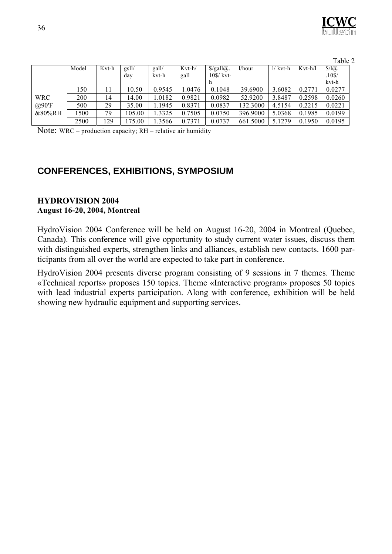|            |       |       |        |        |          |                              |           |            |           | Table 2   |  |
|------------|-------|-------|--------|--------|----------|------------------------------|-----------|------------|-----------|-----------|--|
|            | Model | Kvt-h | gsll/  | gall/  | $Kvt-h/$ | $\frac{\S}{\text{gal}(a)}$ . | $1/h$ our | $1/$ kvt-h | $Kvt-h/l$ | \$/1@     |  |
|            |       |       | day    | kvt-h  | gall     | $10\$ kvt-                   |           |            |           | $.10$ \$/ |  |
|            |       |       |        |        |          | h                            |           |            |           | kvt-h     |  |
|            | 150   |       | 10.50  | 0.9545 | 1.0476   | 0.1048                       | 39.6900   | 3.6082     | 0.2771    | 0.0277    |  |
| <b>WRC</b> | 200   | 14    | 14.00  | .0182  | 0.9821   | 0.0982                       | 52.9200   | 3.8487     | 0.2598    | 0.0260    |  |
| @90'F      | 500   | 29    | 35.00  | .1945  | 0.8371   | 0.0837                       | 132.3000  | 4.5154     | 0.2215    | 0.0221    |  |
| &80%RH     | 1500  | 79    | 105.00 | .3325  | 0.7505   | 0.0750                       | 396.9000  | 5.0368     | 0.1985    | 0.0199    |  |
|            | 2500  | 129   | 175.00 | .3566  | 0.7371   | 0.0737                       | 661.5000  | 5.1279     | 0.1950    | 0.0195    |  |

Note: WRC – production capacity; RH – relative air humidity

# **CONFERENCES, EXHIBITIONS, SYMPOSIUM**

#### **HYDROVISION 2004 August 16-20, 2004, Моntreal**

HydroVision 2004 Conference will be held on August 16-20, 2004 in Montreal (Quebec, Canada). This conference will give opportunity to study current water issues, discuss them with distinguished experts, strengthen links and alliances, establish new contacts. 1600 participants from all over the world are expected to take part in conference.

HydroVision 2004 presents diverse program consisting of 9 sessions in 7 themes. Theme «Technical reports» proposes 150 topics. Theme «Interactive program» proposes 50 topics with lead industrial experts participation. Along with conference, exhibition will be held showing new hydraulic equipment and supporting services.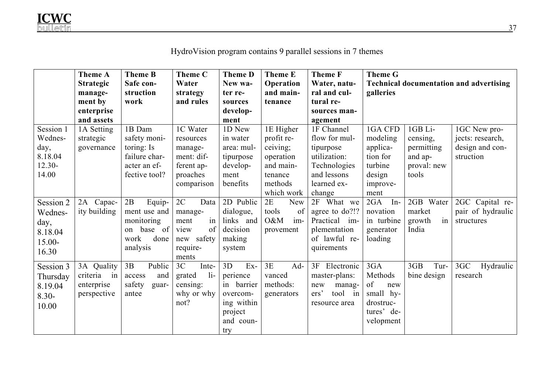|           | <b>Theme A</b>   | <b>Theme B</b>  | <b>Theme C</b>  | <b>Theme D</b> | <b>Theme E</b> | <b>Theme F</b>  | <b>Theme G</b> |              |                                                |
|-----------|------------------|-----------------|-----------------|----------------|----------------|-----------------|----------------|--------------|------------------------------------------------|
|           | <b>Strategic</b> | Safe con-       | Water           | New wa-        | Operation      | Water, natu-    |                |              | <b>Technical documentation and advertising</b> |
|           | manage-          | struction       | strategy        | ter re-        | and main-      | ral and cul-    | galleries      |              |                                                |
|           | ment by          | work            | and rules       | sources        | tenance        | tural re-       |                |              |                                                |
|           | enterprise       |                 |                 | develop-       |                | sources man-    |                |              |                                                |
|           | and assets       |                 |                 | ment           |                | agement         |                |              |                                                |
| Session 1 | 1A Setting       | 1B Dam          | 1C Water        | 1D New         | 1E Higher      | 1F Channel      | 1GA CFD        | 1GB Li-      | 1GC New pro-                                   |
| Wednes-   | strategic        | safety moni-    | resources       | in water       | profit re-     | flow for mul-   | modeling       | censing,     | jects: research,                               |
| day,      | governance       | toring: Is      | manage-         | area: mul-     | ceiving;       | tipurpose       | applica-       | permitting   | design and con-                                |
| 8.18.04   |                  | failure char-   | ment: dif-      | tipurpose      | operation      | utilization:    | tion for       | and ap-      | struction                                      |
| $12.30 -$ |                  | acter an ef-    | ferent ap-      | develop-       | and main-      | Technologies    | turbine        | proval: new  |                                                |
| 14.00     |                  | fective tool?   | proaches        | ment           | tenance        | and lessons     | design         | tools        |                                                |
|           |                  |                 | comparison      | benefits       | methods        | learned ex-     | improve-       |              |                                                |
|           |                  |                 |                 |                | which work     | change          | ment           |              |                                                |
| Session 2 | Capac-<br>2A     | 2B<br>Equip-    | 2C<br>Data      | 2D Public      | 2E<br>New      | 2F What we      | 2GA<br>$In-$   | 2GB Water    | 2GC Capital re-                                |
| Wednes-   | ity building     | ment use and    | manage-         | dialogue,      | of<br>tools    | agree to do?!?  | novation       | market       | pair of hydraulic                              |
| day,      |                  | monitoring      | in<br>ment      | links and      | O&M<br>im-     | Practical im-   | in turbine     | in<br>growth | structures                                     |
| 8.18.04   |                  | base of<br>on   | of<br>view      | decision       | provement      | plementation    | generator      | India        |                                                |
| 15.00-    |                  | work<br>done    | new safety      | making         |                | of lawful re-   | loading        |              |                                                |
| 16.30     |                  | analysis        | require-        | system         |                | quirements      |                |              |                                                |
|           |                  |                 | ments           |                |                |                 |                |              |                                                |
| Session 3 | 3A Quality       | 3B<br>Public    | 3C<br>Inte-     | $Ex-$<br>3D    | 3E<br>Ad-      | 3F Electronic   | 3GA            | 3GB<br>Tur-  | 3GC<br>Hydraulic                               |
| Thursday  | criteria in      | and<br>access   | $1i-$<br>grated | perience       | vanced         | master-plans:   | Methods        | bine design  | research                                       |
| 8.19.04   | enterprise       | safety<br>guar- | censing:        | in barrier     | methods:       | new<br>manag-   | of<br>new      |              |                                                |
| $8.30 -$  | perspective      | antee           | why or why      | overcom-       | generators     | ers'<br>tool in | small hy-      |              |                                                |
| 10.00     |                  |                 | not?            | ing within     |                | resource area   | drostruc-      |              |                                                |
|           |                  |                 |                 | project        |                |                 | tures' de-     |              |                                                |
|           |                  |                 |                 | and coun-      |                |                 | velopment      |              |                                                |
|           |                  |                 |                 | try            |                |                 |                |              |                                                |

# HydroVision program contains 9 parallel sessions in 7 themes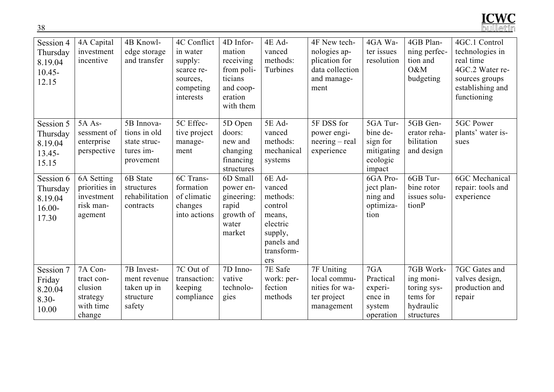

| Session 4<br>Thursday<br>8.19.04<br>$10.45 -$<br>12.15 | 4A Capital<br>investment<br>incentive                               | 4B Knowl-<br>edge storage<br>and transfer                            | 4C Conflict<br>in water<br>supply:<br>scarce re-<br>sources,<br>competing<br>interests | 4D Infor-<br>mation<br>receiving<br>from poli-<br>ticians<br>and coop-<br>eration<br>with them | 4E Ad-<br>vanced<br>methods:<br>Turbines                                                                    | 4F New tech-<br>nologies ap-<br>plication for<br>data collection<br>and manage-<br>ment | 4GA Wa-<br>ter issues<br>resolution                                  | 4GB Plan-<br>ning perfec-<br>tion and<br>O&M<br>budgeting                    | 4GC.1 Control<br>technologies in<br>real time<br>4GC.2 Water re-<br>sources groups<br>establishing and<br>functioning |
|--------------------------------------------------------|---------------------------------------------------------------------|----------------------------------------------------------------------|----------------------------------------------------------------------------------------|------------------------------------------------------------------------------------------------|-------------------------------------------------------------------------------------------------------------|-----------------------------------------------------------------------------------------|----------------------------------------------------------------------|------------------------------------------------------------------------------|-----------------------------------------------------------------------------------------------------------------------|
| Session 5<br>Thursday<br>8.19.04<br>$13.45 -$<br>15.15 | 5A As-<br>sessment of<br>enterprise<br>perspective                  | 5B Innova-<br>tions in old<br>state struc-<br>tures im-<br>provement | 5C Effec-<br>tive project<br>manage-<br>ment                                           | 5D Open<br>doors:<br>new and<br>changing<br>financing<br>structures                            | 5E Ad-<br>vanced<br>methods:<br>mechanical<br>systems                                                       | 5F DSS for<br>power engi-<br>$neering - real$<br>experience                             | 5GA Tur-<br>bine de-<br>sign for<br>mitigating<br>ecologic<br>impact | 5GB Gen-<br>erator reha-<br>bilitation<br>and design                         | 5GC Power<br>plants' water is-<br>sues                                                                                |
| Session 6<br>Thursday<br>8.19.04<br>$16.00 -$<br>17.30 | 6A Setting<br>priorities in<br>investment<br>risk man-<br>agement   | 6B State<br>structures<br>rehabilitation<br>contracts                | 6C Trans-<br>formation<br>of climatic<br>changes<br>into actions                       | 6D Small<br>power en-<br>gineering:<br>rapid<br>growth of<br>water<br>market                   | 6E Ad-<br>vanced<br>methods:<br>control<br>means,<br>electric<br>supply,<br>panels and<br>transform-<br>ers |                                                                                         | 6GA Pro-<br>ject plan-<br>ning and<br>optimiza-<br>tion              | 6GB Tur-<br>bine rotor<br>issues solu-<br>tionP                              | <b>6GC</b> Mechanical<br>repair: tools and<br>experience                                                              |
| Session 7<br>Friday<br>8.20.04<br>$8.30 -$<br>10.00    | 7A Con-<br>tract con-<br>clusion<br>strategy<br>with time<br>change | 7B Invest-<br>ment revenue<br>taken up in<br>structure<br>safety     | 7C Out of<br>transaction:<br>keeping<br>compliance                                     | 7D Inno-<br>vative<br>technolo-<br>gies                                                        | 7E Safe<br>work: per-<br>fection<br>methods                                                                 | 7F Uniting<br>local commu-<br>nities for wa-<br>ter project<br>management               | 7GA<br>Practical<br>experi-<br>ence in<br>system<br>operation        | 7GB Work-<br>ing moni-<br>toring sys-<br>tems for<br>hydraulic<br>structures | 7GC Gates and<br>valves design,<br>production and<br>repair                                                           |

38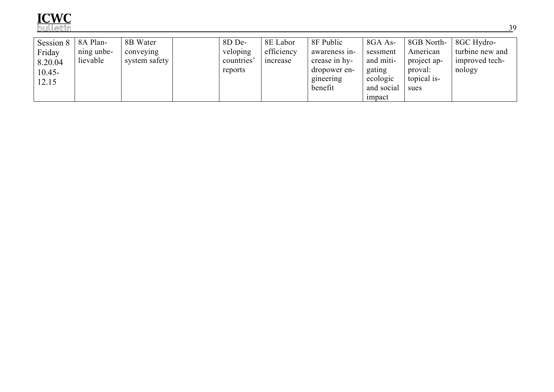

| Session 8 | 8A Plan-   | 8B Water      | 8D De-    | 8E Labor   | 8F Public     | 8GA As-    |             | 8GB North- 8GC Hydro- |
|-----------|------------|---------------|-----------|------------|---------------|------------|-------------|-----------------------|
| Friday    | ning unbe- | conveying     | veloping  | efficiency | awareness in- | sessment   | American    | turbine new and       |
| 8.20.04   | lievable   | system safety | countries | increase   | crease in hy- | and miti-  | project ap- | improved tech-        |
| $10.45 -$ |            |               | reports   |            | dropower en-  | gating     | proval:     | nology                |
| 12.15     |            |               |           |            | gineering     | ecologic   | topical is- |                       |
|           |            |               |           |            | benefit       | and social | sues        |                       |
|           |            |               |           |            |               | impact     |             |                       |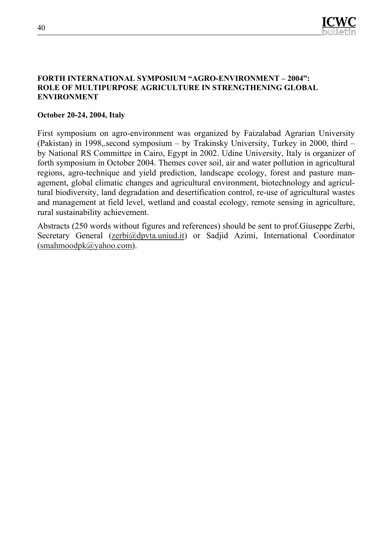

#### **FORTH INTERNATIONAL SYMPOSIUM "AGRO-ENVIRONMENT – 2004": ROLE OF MULTIPURPOSE AGRICULTURE IN STRENGTHENING GLOBAL ENVIRONMENT**

#### **October 20-24, 2004, Italy**

First symposium on agro-environment was organized by Faizalabad Agrarian University (Pakistan) in 1998,.second symposium – by Trakinsky University, Turkey in 2000, third – by National RS Committee in Cairo, Egypt in 2002. Udine University, Italy is organizer of forth symposium in October 2004. Themes cover soil, air and water pollution in agricultural regions, agro-technique and yield prediction, landscape ecology, forest and pasture management, global climatic changes and agricultural environment, biotechnology and agricultural biodiversity, land degradation and desertification control, re-use of agricultural wastes and management at field level, wetland and coastal ecology, remote sensing in agriculture, rural sustainability achievement.

Abstracts (250 words without figures and references) should be sent to prof.Giuseppe Zerbi, Secretary General (zerbi@dpvta.uniud.it) or Sadjid Azimi, International Coordinator (smahmoodpk@yahoo.com).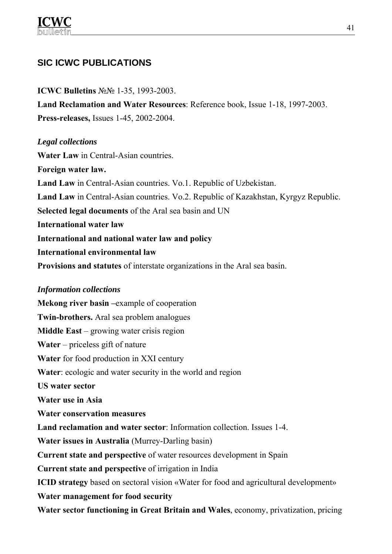# **SIC ICWC PUBLICATIONS**

**ICWC Bulletins** №№ 1-35, 1993-2003. **Land Reclamation and Water Resources**: Reference book, Issue 1-18, 1997-2003. **Press-releases,** Issues 1-45, 2002-2004.

#### *Legal collections*

**Water Law** in Central-Asian countries. **Foreign water law. Land Law** in Central-Asian countries. Vo.1. Republic of Uzbekistan. **Land Law** in Central-Asian countries. Vo.2. Republic of Kazakhstan, Kyrgyz Republic. **Selected legal documents** of the Aral sea basin and UN **International water law International and national water law and policy International environmental law Provisions and statutes** of interstate organizations in the Aral sea basin.

#### *Information collections*

**Mekong river basin –**example of cooperation **Twin-brothers.** Aral sea problem analogues **Middle East** – growing water crisis region **Water** – priceless gift of nature **Water** for food production in XXI century **Water**: ecologic and water security in the world and region **US water sector Water use in Asia Water conservation measures Land reclamation and water sector**: Information collection. Issues 1-4. **Water issues in Australia** (Murrey-Darling basin) **Current state and perspective** of water resources development in Spain **Current state and perspective** of irrigation in India **ICID strategy** based on sectoral vision «Water for food and agricultural development» **Water management for food security Water sector functioning in Great Britain and Wales**, economy, privatization, pricing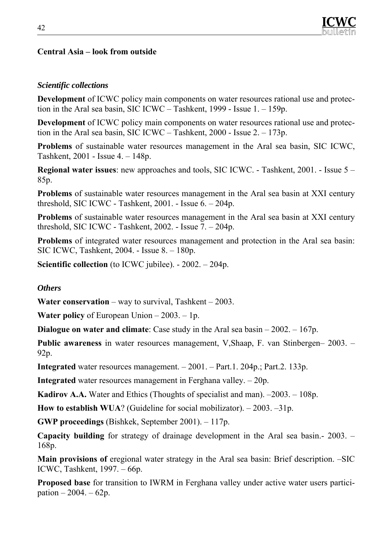#### **Central Asia – look from outside**

#### *Scientific collections*

**Development** of ICWC policy main components on water resources rational use and protection in the Aral sea basin, SIC ICWC – Tashkent, 1999 - Issue 1. – 159p.

**Development** of ICWC policy main components on water resources rational use and protection in the Aral sea basin, SIC ICWC – Tashkent, 2000 - Issue 2. – 173p.

**Problems** of sustainable water resources management in the Aral sea basin, SIC ICWC, Tashkent, 2001 - Issue 4. – 148p.

**Regional water issues**: new approaches and tools, SIC ICWC. - Tashkent, 2001. - Issue 5 – 85p.

**Problems** of sustainable water resources management in the Aral sea basin at XXI century threshold, SIC ICWC - Tashkent, 2001. - Issue 6. – 204p.

**Problems** of sustainable water resources management in the Aral sea basin at XXI century threshold, SIC ICWC - Tashkent,  $2002$ . - Issue  $7 - 204p$ .

**Problems** of integrated water resources management and protection in the Aral sea basin: SIC ICWC, Tashkent, 2004. - Issue 8. – 180p.

**Scientific collection** (to ICWC jubilee). - 2002. – 204p.

#### *Others*

**Water conservation** – way to survival, Tashkent – 2003.

**Water policy** of European Union – 2003. – 1p.

**Dialogue on water and climate**: Case study in the Aral sea basin – 2002. – 167p.

**Public awareness** in water resources management, V,Shaap, F. van Stinbergen– 2003. – 92p.

**Integrated** water resources management. – 2001. – Part.1. 204p.; Part.2. 133p.

**Integrated** water resources management in Ferghana valley. – 20p.

**Kadirov А.А.** Water and Ethics (Thoughts of specialist and man). –2003. – 108p.

**How to establish WUA**? (Guideline for social mobilizator). – 2003. –31p.

**GWP proceedings** (Bishkek, September 2001). – 117p.

**Capacity building** for strategy of drainage development in the Aral sea basin.- 2003. – 168p.

**Main provisions of eregional water strategy in the Aral sea basin: Brief description. –SIC** ICWC, Tashkent, 1997. – 66p.

**Proposed base** for transition to IWRM in Ferghana valley under active water users participation  $-2004 - 62p$ .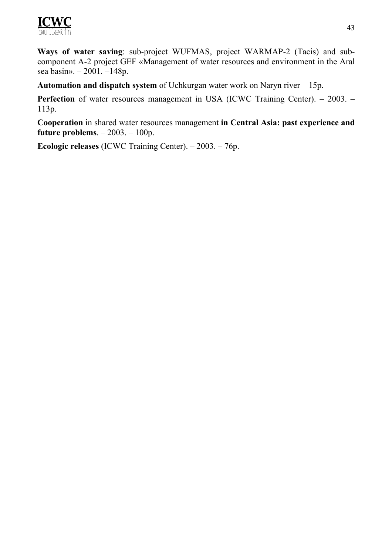**Ways of water saving**: sub-project WUFMAS, project WARMAP-2 (Tacis) and subcomponent А-2 project GEF «Management of water resources and environment in the Aral sea basin». – 2001. –148p.

**Automation and dispatch system** of Uchkurgan water work on Naryn river – 15p.

**Perfection** of water resources management in USA (ICWC Training Center). – 2003. – 113p.

**Cooperation** in shared water resources management **in Central Asia: past experience and future problems**. – 2003. – 100p.

**Ecologic releases** (ICWC Training Center). – 2003. – 76p.